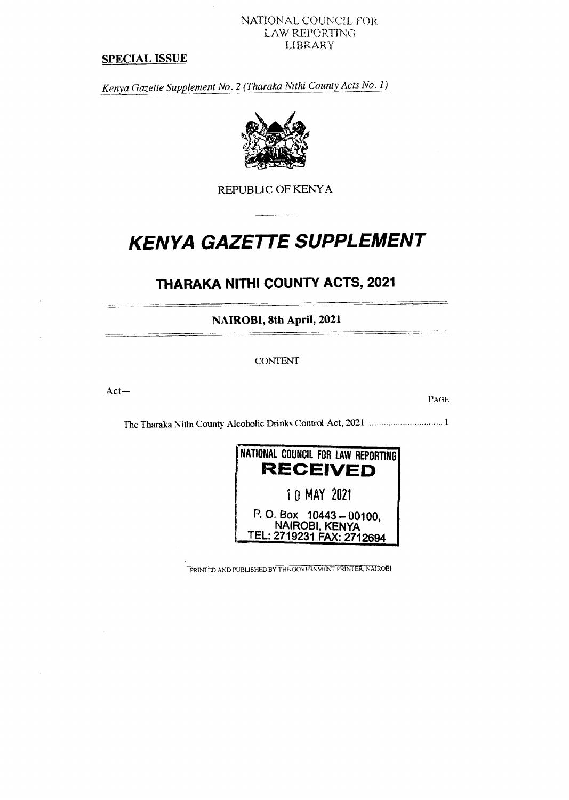#### NATIONAL COUNCIL FOR LAW REPORTING= LIBRARY

#### **SPECIAL ISSUE**

*Kenya Gazette Supplement No. 2 (Tharaka Nithi County Acts No. 1)* 



REPUBLIC OF KENYA

# **KENYA GAZETTE SUPPLEMENT**

# **THARAKA NITHI COUNTY ACTS, 2021**

**NAIROBI, 8th April, 2021** 

CONTENT

Act—

PAGE

The Tharaka Nithi County Alcoholic Drinks Control Act, 2021 1



PRINTED AND PUBLISHED BY THE GOVERNMENT PRINTER, NAIROBI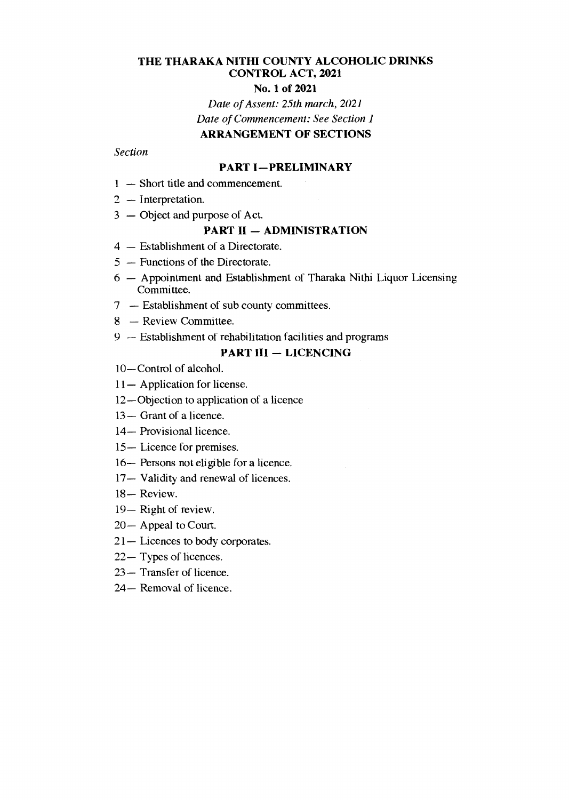## **THE THARAKA NITHI COUNTY ALCOHOLIC DRINKS CONTROL ACT, 2021**

#### **No. 1 of 2021**

*Date of Assent: 25th march, 2021 Date of Commencement: See Section 1*  **ARRANGEMENT OF SECTIONS** 

### *Section*

#### **PART I—PRELIMINARY**

- **1** Short title and commencement.
- 2 Interpretation.
- 3 Object and purpose of Act.

#### **PART II — ADMINISTRATION**

- 4 Establishment of a Directorate.
- 5 Functions of the Directorate.
- 6 Appointment and Establishment of Tharaka Nithi Liquor Licensing Committee.
- 7 Establishment of sub county committees.
- 8 Review Committee.
- 9 Establishment of rehabilitation facilities and programs

### **PART III — LICENCING**

- 10—Control of alcohol.
- 11— Application for license.
- 12—Objection to application of a licence
- 13— Grant of a licence.
- 14— Provisional licence.
- 15— Licence for premises.
- 16— Persons not eligible for a licence.
- 17— Validity and renewal of licences.
- 18— Review.
- 19— Right of review.
- 20— Appeal to Court.
- 21— Licences to body corporates.
- 22— Types of licences.
- 23— Transfer of licence.
- 24— Removal of licence.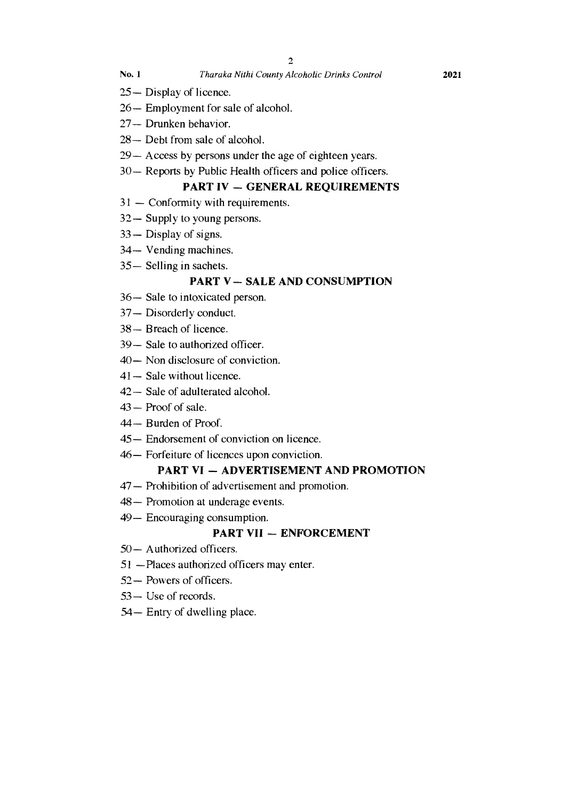- **No. 1** *Tharaka Nithi County Alcoholic Drinks Control* **2021**
- 25— Display of licence.
- 26— Employment for sale of alcohol.
- 27— Drunken behavior.
- 28— Debt from sale of alcohol.
- 29— Access by persons under the age of eighteen years.
- 30— Reports by Public Health officers and police officers.

### **PART IV — GENERAL REQUIREMENTS**

- 31 Conformity with requirements.
- 32— Supply to young persons.
- 33— Display of signs.
- 34— Vending machines.
- 35— Selling in sachets.

### **PART V — SALE AND CONSUMPTION**

- 36— Sale to intoxicated person.
- 37— Disorderly conduct.
- 38— Breach of licence.
- 39— Sale to authorized officer.
- 40— Non disclosure of conviction.
- 41— Sale without licence.
- 42— Sale of adulterated alcohol.
- 43 Proof of sale.
- 44— Burden of Proof.
- 45— Endorsement of conviction on licence.
- 46— Forfeiture of licences upon conviction.

### **PART VI — ADVERTISEMENT AND PROMOTION**

- 47— Prohibition of advertisement and promotion.
- 48— Promotion at underage events.
- 49— Encouraging consumption.

### **PART VII — ENFORCEMENT**

- 50— Authorized officers.
- 51 —Places authorized officers may enter.
- 52— Powers of officers.
- 53— Use of records.
- 54— Entry of dwelling place.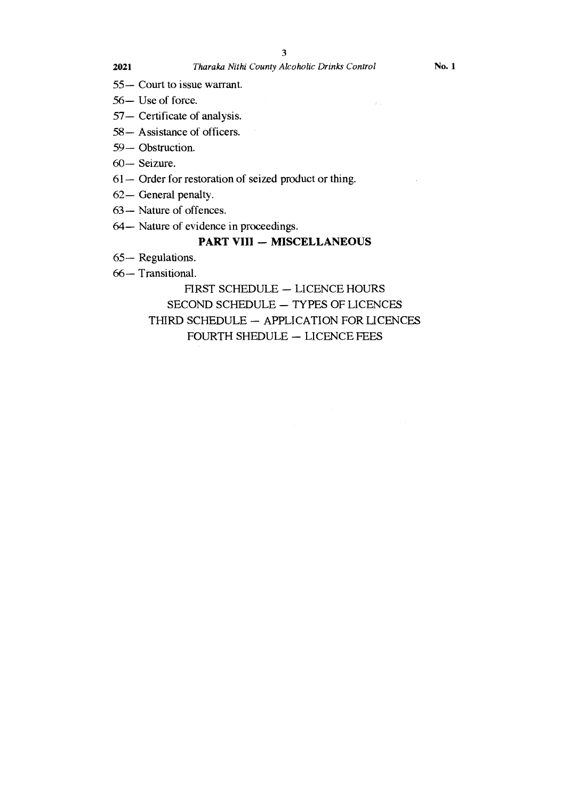55— Court to issue warrant.

- 56— Use of force.
- 57— Certificate of analysis.
- 58— Assistance of officers.
- 59— Obstruction.
- 60— Seizure.
- 61— Order for restoration of seized product or thing.
- 62— General penalty.
- 63— Nature of offences.
- 64— Nature of evidence in proceedings.

### **PART VIII — MISCELLANEOUS**

- 65— Regulations.
- 66— Transitional.

FIRST SCHEDULE — LICENCE HOURS SECOND SCHEDULE — TYPES OF LICENCES THIRD SCHEDULE — APPLICATION FOR LICENCES FOURTH SHEDULE — LICENCE FEES

 $\sim 3\%$  as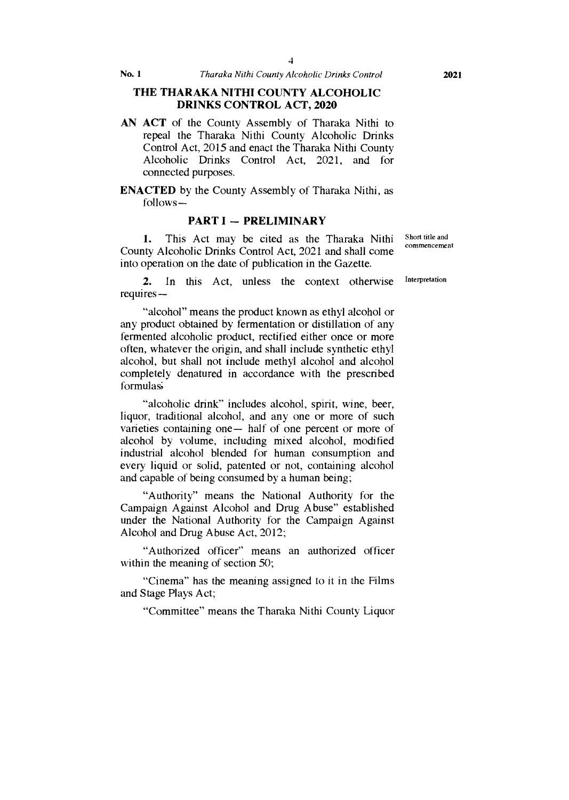#### **THE THARAKA NITHI COUNTY ALCOHOLIC DRINKS CONTROL ACT, 2020**

**AN ACT** of the County Assembly of Tharaka Nithi to repeal the Tharaka Nithi County Alcoholic Drinks Control Act, 2015 and enact the Tharaka Nithi County Alcoholic Drinks Control Act, 2021, and for connected purposes.

**ENACTED** by the County Assembly of Tharaka Nithi, as follows—

#### **PART I — PRELIMINARY**

1. This Act may be cited as the Tharaka Nithi County Alcoholic Drinks Control Act, 2021 and shall come into operation on the date of publication in the Gazette.

2. In this Act, unless the context otherwise requires —

"alcohol" means the product known as ethyl alcohol or any product obtained by fermentation or distillation of any fermented alcoholic product, rectified either once or more often, whatever the origin, and shall include synthetic ethyl alcohol, but shall not include methyl alcohol and alcohol completely denatured in accordance with the prescribed formulas;

"alcoholic drink" includes alcohol, spirit, wine, beer, liquor, traditional alcohol, and any one or more of such varieties containing one— half of one percent or more of alcohol by volume, including mixed alcohol, modified industrial alcohol blended for human consumption and every liquid or solid, patented or not, containing alcohol and capable of being consumed by a human being;

"Authority" means the National Authority for the Campaign Against Alcohol and Drug Abuse" established under the National Authority for the Campaign Against Alcohol and Drug Abuse Act, 2012;

"Authorized officer" means an authorized officer within the meaning of section 50;

"Cinema" has the meaning assigned to it in the Films and Stage Plays Act;

"Committee" means the Tharaka Nithi County Liquor

Short title and commencement

Interpretation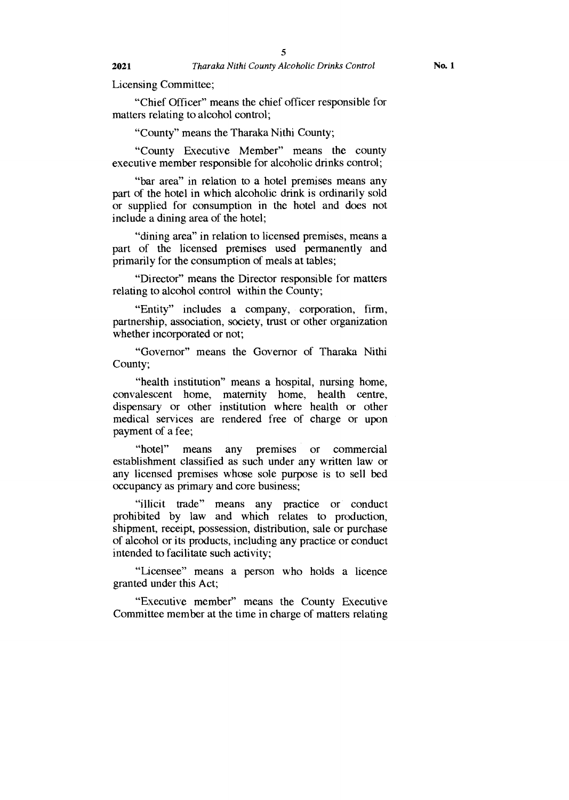Licensing Committee;

"Chief Officer" means the chief officer responsible for matters relating to alcohol control;

"County" means the Tharaka Nithi County;

"County Executive Member" means the county executive member responsible for alcoholic drinks control;

"bar area" in relation to a hotel premises means any part of the hotel in which alcoholic drink is ordinarily sold or supplied for consumption in the hotel and does not include a dining area of the hotel;

"dining area" in relation to licensed premises, means a part of the licensed premises used permanently and primarily for the consumption of meals at tables;

"Director" means the Director responsible for matters relating to alcohol control within the County;

"Entity" includes a company, corporation, firm, partnership, association, society, trust or other organization whether incorporated or not;

"Governor" means the Governor of Tharaka Nithi County;

"health institution" means a hospital, nursing home, convalescent home, maternity home, health centre, dispensary or other institution where health or other medical services are rendered free of charge or upon payment of a fee;

"hotel" means any premises or commercial establishment classified as such under any written law or any licensed premises whose sole purpose is to sell bed occupancy as primary and core business;

"illicit trade" means any practice or conduct prohibited by law and which relates to production, shipment, receipt, possession, distribution, sale or purchase of alcohol or its products, including any practice or conduct intended to facilitate such activity;

"Licensee" means a person who holds a licence granted under this Act;

"Executive member" means the County Executive Committee member at the time in charge of matters relating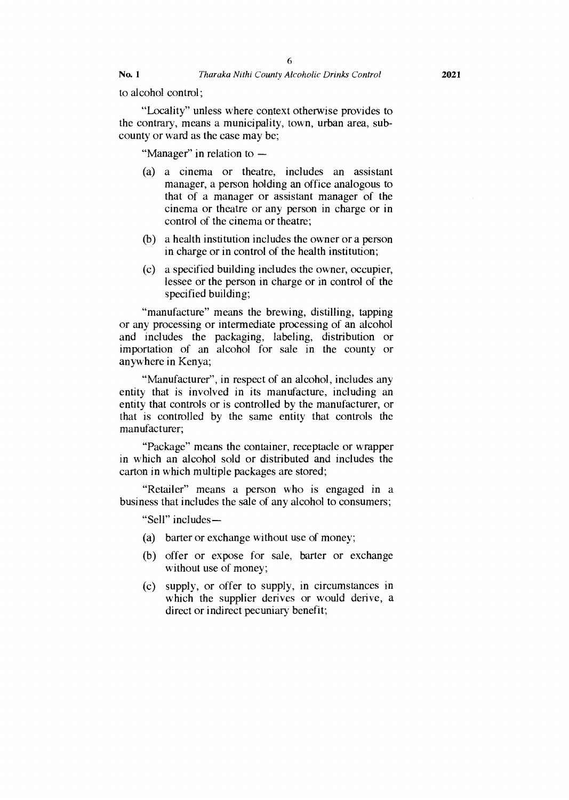to alcohol control;

"Locality" unless where context otherwise provides to the contrary, means a municipality, town, urban area, subcounty or ward as the case may be;

"Manager" in relation to —

- (a) a cinema or theatre, includes an assistant manager, a person holding an office analogous to that of a manager or assistant manager of the cinema or theatre or any person in charge or in control of the cinema or theatre;
- (b) a health institution includes the owner or a person in charge or in control of the health institution;
- (c) a specified building includes the owner, occupier, lessee or the person in charge or in control of the specified building;

"manufacture" means the brewing, distilling, tapping or any processing or intermediate processing of an alcohol and includes the packaging, labeling, distribution or importation of an alcohol for sale in the county or anywhere in Kenya;

"Manufacturer", in respect of an alcohol, includes any entity that is involved in its manufacture, including an entity that controls or is controlled by the manufacturer, or that is controlled by the same entity that controls the manufacturer;

"Package" means the container, receptacle or wrapper in which an alcohol sold or distributed and includes the carton in which multiple packages are stored;

"Retailer" means a person who is engaged in a business that includes the sale of any alcohol to consumers;

"Sell" includes —

- (a) barter or exchange without use of money;
- (b) offer or expose for sale, barter or exchange without use of money;
- (c) supply, or offer to supply, in circumstances in which the supplier derives or would derive, a direct or indirect pecuniary benefit;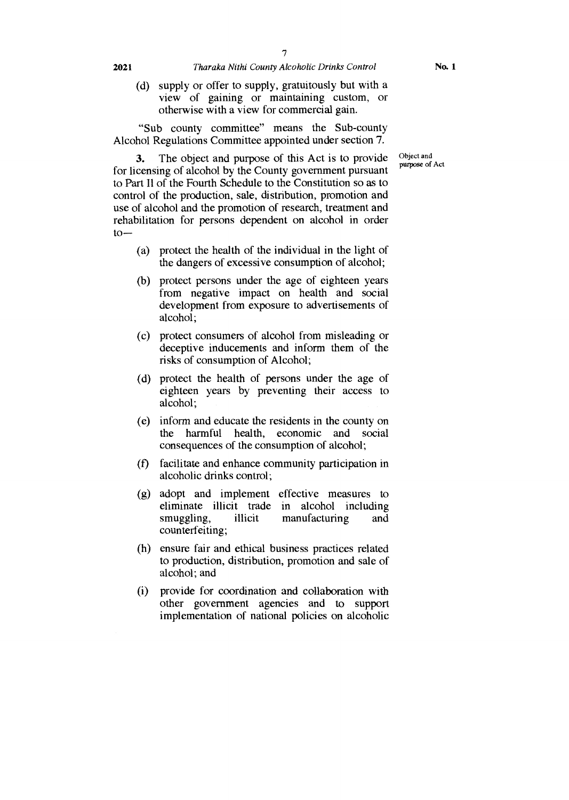(d) supply or offer to supply, gratuitously but with a view of gaining or maintaining custom, or otherwise with a view for commercial gain.

"Sub county committee" means the Sub-county Alcohol Regulations Committee appointed under section 7.

> Object and purpose of Act

**3.** The object and purpose of this Act is to provide for licensing of alcohol by the County government pursuant to Part Il of the Fourth Schedule to the Constitution so as to control of the production, sale, distribution, promotion and use of alcohol and the promotion of research, treatment and rehabilitation for persons dependent on alcohol in order  $to-$ 

- (a) protect the health of the individual in the light of the dangers of excessive consumption of alcohol;
- (b) protect persons under the age of eighteen years from negative impact on health and social development from exposure to advertisements of alcohol;
- (c) protect consumers of alcohol from misleading or deceptive inducements and inform them of the risks of consumption of Alcohol;
- (d) protect the health of persons under the age of eighteen years by preventing their access to alcohol;
- (e) inform and educate the residents in the county on the harmful health, economic and social consequences of the consumption of alcohol;
- (f) facilitate and enhance community participation in alcoholic drinks control;
- (g) adopt and implement effective measures to eliminate illicit trade in alcohol including<br>smuggling, illicit manufacturing and manufacturing and counterfeiting;
- (h) ensure fair and ethical business practices related to production, distribution, promotion and sale of alcohol; and
- (i) provide for coordination and collaboration with other government agencies and to support implementation of national policies on alcoholic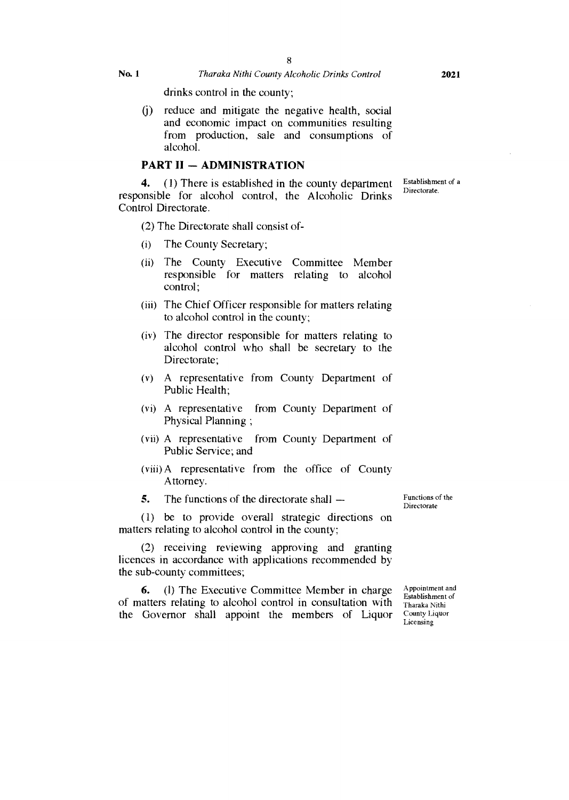drinks control in the county;

(j) reduce and mitigate the negative health, social and economic impact on communities resulting from production, sale and consumptions of alcohol.

### **PART II — ADMINISTRATION**

**4.** (1) There is established in the county department responsible for alcohol control, the Alcoholic Drinks Control Directorate. Establishment of a Directorate.

(2) The Directorate shall consist of-

- (i) The County Secretary;
- (ii) The County Executive Committee Member responsible for matters relating to alcohol control;
- (iii) The Chief Officer responsible for matters relating to alcohol control in the county;
- (iv) The director responsible for matters relating to alcohol control who shall be secretary to the Directorate;
- A representative from County Department of Public Health;
- A representative from County Department of Physical Planning ;
- A representative from County Department of Public Service; and
- (viii) A representative from the office of County Attorney.
- **5.** The functions of the directorate shall —

(1) be to provide overall strategic directions on matters relating to alcohol control in the county;

(2) receiving reviewing approving and granting licences in accordance with applications recommended by the sub-county committees;

**6.** (1) The Executive Committee Member in charge of matters relating to alcohol control in consultation with the Governor shall appoint the members of Liquor

Functions of the Directorate

Appointment and Establishment of Tharaka Nithi County Liquor Licensing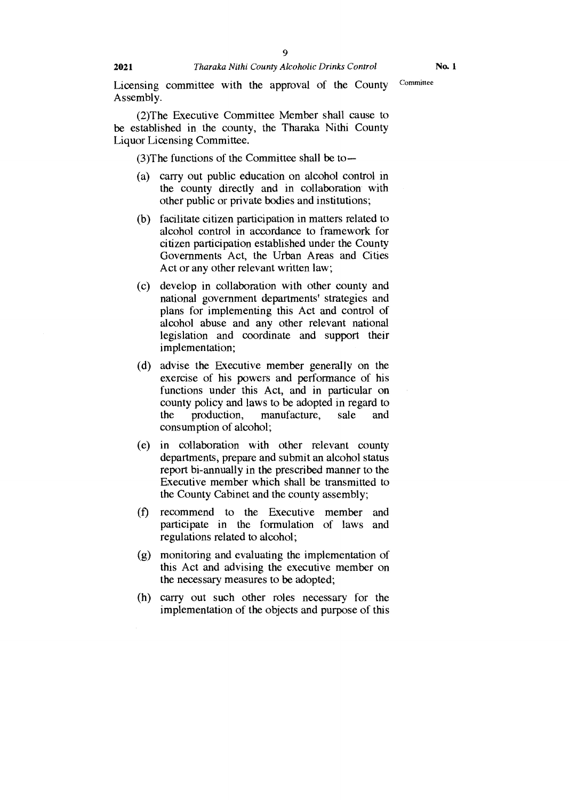Licensing committee with the approval of the County Committee Assembly.

(2)The Executive Committee Member shall cause to be established in the county, the Tharaka Nithi County Liquor Licensing Committee.

(3)The functions of the Committee shall be to—

- (a) carry out public education on alcohol control in the county directly and in collaboration with other public or private bodies and institutions;
- (b) facilitate citizen participation in matters related to alcohol control in accordance to framework for citizen participation established under the County Governments Act, the Urban Areas and Cities Act or any other relevant written law;
- (c) develop in collaboration with other county and national government departments' strategies and plans for implementing this Act and control of alcohol abuse and any other relevant national legislation and coordinate and support their implementation;
- (d) advise the Executive member generally on the exercise of his powers and performance of his functions under this Act, and in particular on county policy and laws to be adopted in regard to the production, manufacture, sale and consumption of alcohol;
- (e) in collaboration with other relevant county departments, prepare and submit an alcohol status report bi-annually in the prescribed manner to the Executive member which shall be transmitted to the County Cabinet and the county assembly;
- (f) recommend to the Executive member and participate in the formulation of laws and regulations related to alcohol;
- (g) monitoring and evaluating the implementation of this Act and advising the executive member on the necessary measures to be adopted;
- (h) carry out such other roles necessary for the implementation of the objects and purpose of this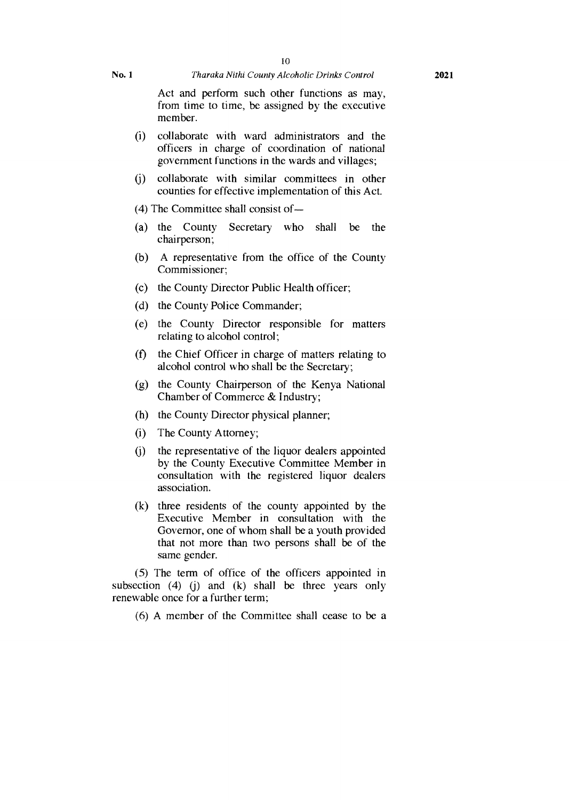Act and perform such other functions as may, from time to time, be assigned by the executive member.

- (1) collaborate with ward administrators and the officers in charge of coordination of national government functions in the wards and villages;
- (j) collaborate with similar committees in other counties for effective implementation of this Act.
- (4) The Committee shall consist of —
- (a) the County Secretary who shall be the chairperson;
- (b) A representative from the office of the County Commissioner;
- (c) the County Director Public Health officer;
- (d) the County Police Commander;
- (e) the County Director responsible for matters relating to alcohol control;
- (f) the Chief Officer in charge of matters relating to alcohol control who shall be the Secretary;
- (g) the County Chairperson of the Kenya National Chamber of Commerce & Industry;
- (h) the County Director physical planner;
- (i) The County Attorney;
- $(i)$ the representative of the liquor dealers appointed by the County Executive Committee Member in consultation with the registered liquor dealers association.
- (k) three residents of the county appointed by the Executive Member in consultation with the Governor, one of whom shall be a youth provided that not more than two persons shall be of the same gender.

(5) The term of office of the officers appointed in subsection  $(4)$   $(i)$  and  $(k)$  shall be three years only renewable once for a further term;

(6) A member of the Committee shall cease to be a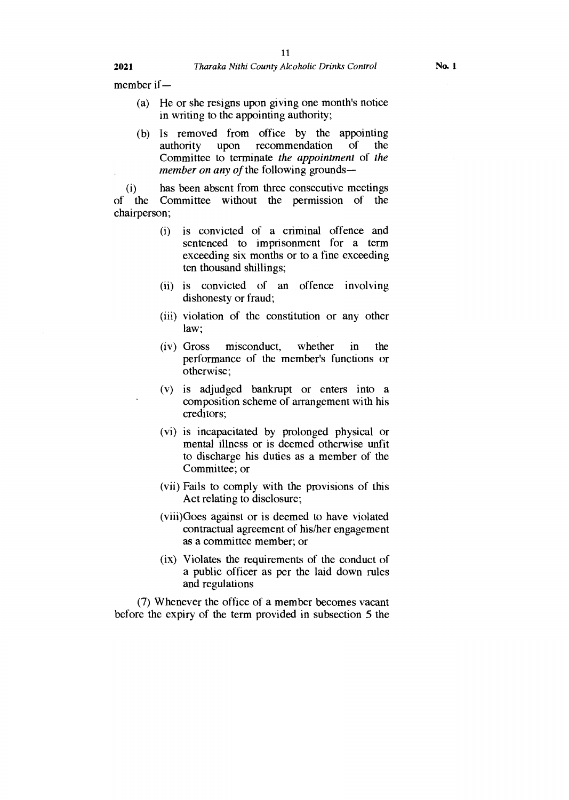member if —

- (a) He or she resigns upon giving one month's notice in writing to the appointing authority;
- (b) Is removed from office by the appointing<br>authority upon recommendation of the authority upon recommendation of the Committee to terminate *the appointment* of *the member on any of the following grounds—*

(i) has been absent from three consecutive meetings<br>of the Committee without the permission of the the Committee without the permission of the chairperson;

- (i) is convicted of a criminal offence and sentenced to imprisonment for a term exceeding six months or to a fine exceeding ten thousand shillings;
- (ii) is convicted of an offence involving dishonesty or fraud;
- (iii) violation of the constitution or any other law;
- (iv) Gross misconduct, whether in the performance of the member's functions or otherwise;
- (v) is adjudged bankrupt or enters into a composition scheme of arrangement with his creditors;
- (vi) is incapacitated by prolonged physical or mental illness or is deemed otherwise unfit to discharge his duties as a member of the Committee; or
- (vii) Fails to comply with the provisions of this Act relating to disclosure;
- (viii)Goes against or is deemed to have violated contractual agreement of his/her engagement as a committee member; or
- (ix) Violates the requirements of the conduct of a public officer as per the laid down rules and regulations

(7) Whenever the office of a member becomes vacant before the expiry of the term provided in subsection 5 the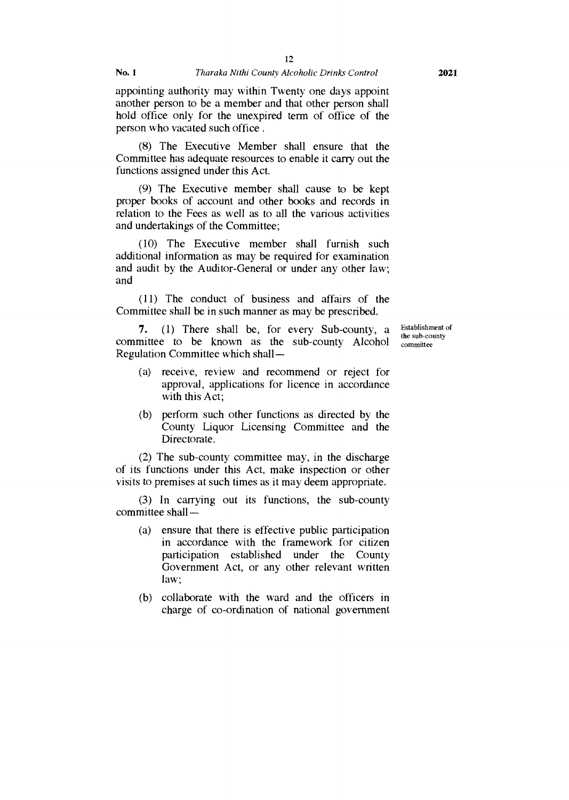12

appointing authority may within Twenty one days appoint another person to be a member and that other person shall hold office only for the unexpired term of office of the person who vacated such office .

(8) The Executive Member shall ensure that the Committee has adequate resources to enable it carry out the functions assigned under this Act.

(9) The Executive member shall cause to be kept proper books of account and other books and records in relation to the Fees as well as to all the various activities and undertakings of the Committee;

(10) The Executive member shall furnish such additional information as may be required for examination and audit by the Auditor-General or under any other law; and

(11) The conduct of business and affairs of the Committee shall be in such manner as may be prescribed.

**7.** (1) There shall be, for every Sub-county, a committee to be known as the sub-county Alcohol Regulation Committee which shall —

Establishment of the sub-county committee

- (a) receive, review and recommend or reject for approval, applications for licence in accordance with this Act;
- (b) perform such other functions as directed by the County Liquor Licensing Committee and the Directorate.

(2) The sub-county committee may, in the discharge of its functions under this Act, make inspection or other visits to premises at such times as it may deem appropriate.

(3) In carrying out its functions, the sub-county committee shall —

- (a) ensure that there is effective public participation in accordance with the framework for citizen participation established under the County Government Act, or any other relevant written law;
- (b) collaborate with the ward and the officers in charge of co-ordination of national government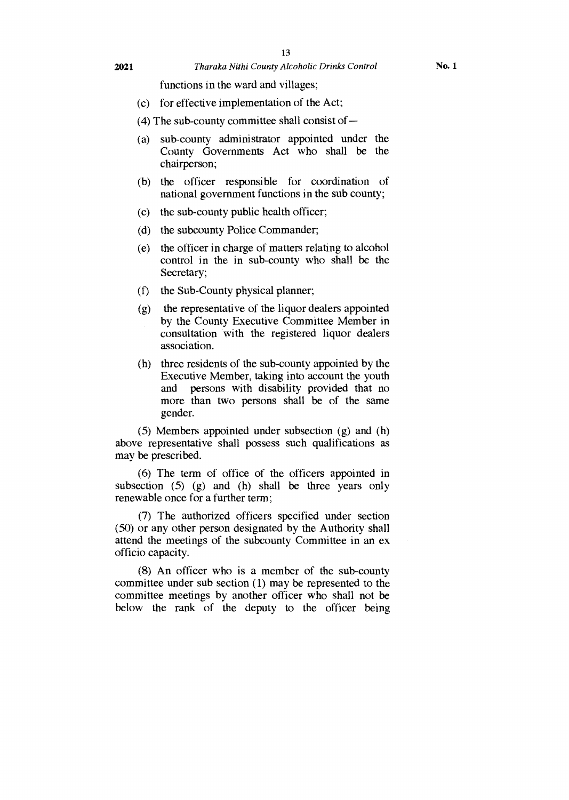#### **2021** *Tharaka Nithi County Alcoholic Drinks Control* **No. 1**

functions in the ward and villages;

- (c) for effective implementation of the Act;
- (4) The sub-county committee shall consist of —
- (a) sub-county administrator appointed under the County Governments Act who shall be the chairperson;
- (b) the officer responsible for coordination of national government functions in the sub county;
- (c) the sub-county public health officer;
- (d) the subcounty Police Commander;
- (e) the officer in charge of matters relating to alcohol control in the in sub-county who shall be the Secretary;
- (f) the Sub-County physical planner;
- (g) the representative of the liquor dealers appointed by the County Executive Committee Member in consultation with the registered liquor dealers association.
- (h) three residents of the sub-county appointed by the Executive Member, taking into account the youth and persons with disability provided that no more than two persons shall be of the same gender.

(5) Members appointed under subsection (g) and (h) above representative shall possess such qualifications as may be prescribed.

(6) The term of office of the officers appointed in subsection (5) (g) and (h) shall be three years only renewable once for a further term;

(7) The authorized officers specified under section (50) or any other person designated by the Authority shall attend the meetings of the subcounty Committee in an ex officio capacity.

(8) An officer who is a member of the sub-county committee under sub section (1) may be represented to the committee meetings by another officer who shall not be below the rank of the deputy to the officer being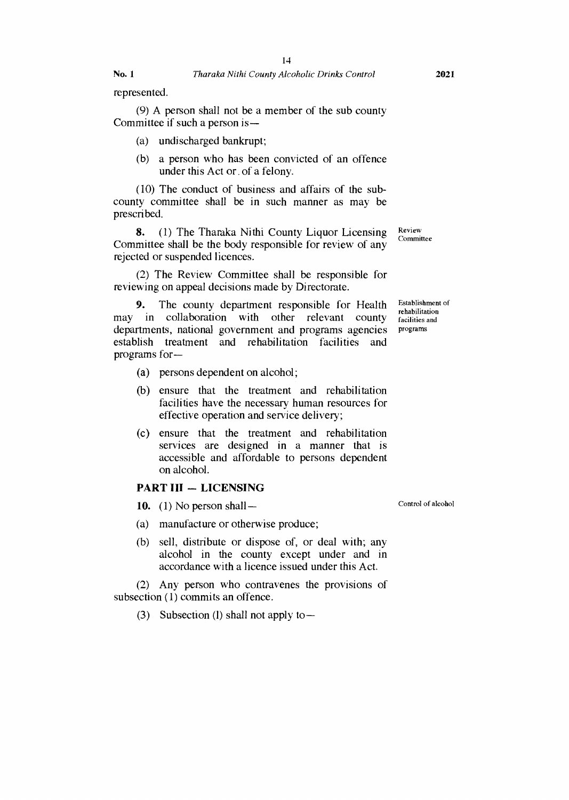represented.

(9) A person shall not be a member of the sub county Committee if such a person is —

- (a) undischarged bankrupt;
- (b) a person who has been convicted of an offence under this Act or. of a felony.

(10) The conduct of business and affairs of the subcounty committee shall be in such manner as may be prescribed.

**8.** (1) The Tharaka Nithi County Liquor Licensing Committee shall be the body responsible for review of any rejected or suspended licences.

(2) The Review Committee shall be responsible for reviewing on appeal decisions made by Directorate.

**9.** The county department responsible for Health may in collaboration with other relevant county departments, national government and programs agencies establish treatment and rehabilitation facilities and programs for—

- (a) persons dependent on alcohol;
- (b) ensure that the treatment and rehabilitation facilities have the necessary human resources for effective operation and service delivery;
- (c) ensure that the treatment and rehabilitation services are designed in a manner that is accessible and affordable to persons dependent on alcohol.

### **PART III — LICENSING**

- **10. (1)** No person shall—
- (a) manufacture or otherwise produce;
- (b) sell, distribute or dispose of, or deal with; any alcohol in the county except under and in accordance with a licence issued under this Act.

(2) Any person who contravenes the provisions of subsection (1) commits an offence.

(3) Subsection (I) shall not apply to—

Control of alcohol

Committee

Establishment of rehabilitation facilities and programs

Review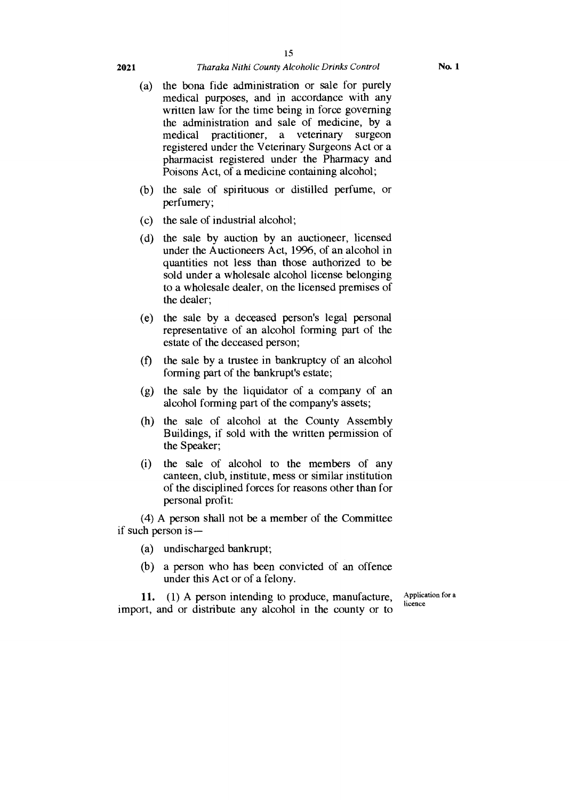#### **2021** *Tharaka Nithi County Alcoholic Drinks Control*

- (a) the bona fide administration or sale for purely medical purposes, and in accordance with any written law for the time being in force governing the administration and sale of medicine, by a medical practitioner, a veterinary surgeon registered under the Veterinary Surgeons Act or a pharmacist registered under the Pharmacy and Poisons Act, of a medicine containing alcohol;
- (b) the sale of spirituous or distilled perfume, or perfumery;
- (c) the sale of industrial alcohol;
- (d) the sale by auction by an auctioneer, licensed under the Auctioneers Act, 1996, of an alcohol in quantities not less than those authorized to be sold under a wholesale alcohol license belonging to a wholesale dealer, on the licensed premises of the dealer;
- (e) the sale by a deceased person's legal personal representative of an alcohol forming part of the estate of the deceased person;
- (f) the sale by a trustee in bankruptcy of an alcohol forming part of the bankrupt's estate;
- (g) the sale by the liquidator of a company of an alcohol forming part of the company's assets;
- (h) the sale of alcohol at the County Assembly Buildings, if sold with the written permission of the Speaker;
- (i) the sale of alcohol to the members of any canteen, club, institute, mess or similar institution of the disciplined forces for reasons other than for personal profit:

(4) A person shall not be a member of the Committee if such person is —

- (a) undischarged bankrupt;
- (b) a person who has been convicted of an offence under this Act or of a felony.

11. (1) A person intending to produce, manufacture, import, and or distribute any alcohol in the county or to

Application for a licence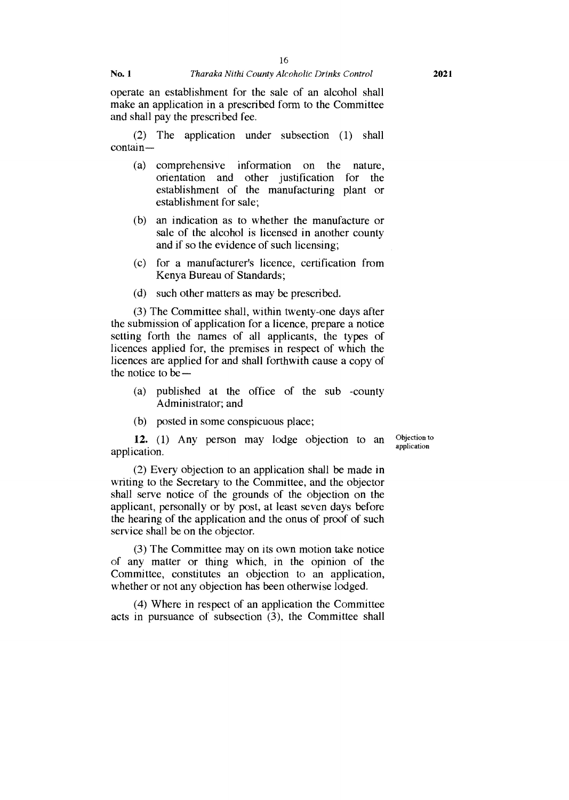operate an establishment for the sale of an alcohol shall make an application in a prescribed form to the Committee and shall pay the prescribed fee.

(2) The application under subsection (1) shall contain —

- (a) comprehensive information on the nature, orientation and other justification for the establishment of the manufacturing plant or establishment for sale;
- (b) an indication as to whether the manufacture or sale of the alcohol is licensed in another county and if so the evidence of such licensing;
- (c) for a manufacturer's licence, certification from Kenya Bureau of Standards;
- (d) such other matters as may be prescribed.

(3) The Committee shall, within twenty-one days after the submission of application for a licence, prepare a notice setting forth the names of all applicants, the types of licences applied for, the premises in respect of which the licences are applied for and shall forthwith cause a copy of the notice to be —

- (a) published at the office of the sub -county Administrator; and
- (b) posted in some conspicuous place;

**12.** (1) Any person may lodge objection to an Objection to application.

(2) Every objection to an application shall be made in writing to the Secretary to the Committee, and the objector shall serve notice of the grounds of the objection on the applicant, personally or by post, at least seven days before the hearing of the application and the onus of proof of such service shall be on the objector.

(3) The Committee may on its own motion take notice of any matter or thing which, in the opinion of the Committee, constitutes an objection to an application, whether or not any objection has been otherwise lodged.

(4) Where in respect of an application the Committee acts in pursuance of subsection (3), the Committee shall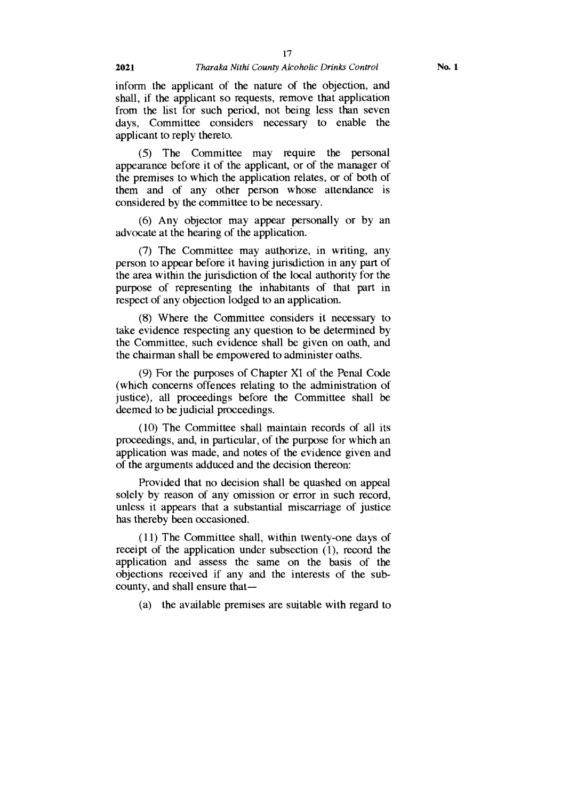inform the applicant of the nature of the objection, and shall, if the applicant so requests, remove that application from the list for such period, not being less than seven days, Committee considers necessary to enable the applicant to reply thereto.

(5) The Committee may require the personal appearance before it of the applicant, or of the manager of the premises to which the application relates, or of both of them and of any other person whose attendance is considered by the committee to be necessary.

(6) Any objector may appear personally or by an advocate at the hearing of the application.

(7) The Committee may authorize, in writing, any person to appear before it having jurisdiction in any part of the area within the jurisdiction of the local authority for the purpose of representing the inhabitants of that part in respect of any objection lodged to an application.

(8) Where the Committee considers it necessary to take evidence respecting any question to be determined by the Committee, such evidence shall be given on oath, and the chairman shall be empowered to administer oaths.

(9) For the purposes of Chapter XI of the Penal Code (which concerns offences relating to the administration of justice), all proceedings before the Committee shall be deemed to be judicial proceedings.

(10) The Committee shall maintain records of all its proceedings, and, in particular, of the purpose for which an application was made, and notes of the evidence given and of the arguments adduced and the decision thereon:

Provided that no decision shall be quashed on appeal solely by reason of any omission or error in such record, unless it appears that a substantial miscarriage of justice has thereby been occasioned.

(11) The Committee shall, within twenty-one days of receipt of the application under subsection (1), record the application and assess the same on the basis of the objections received if any and the interests of the subcounty, and shall ensure that—

(a) the available premises are suitable with regard to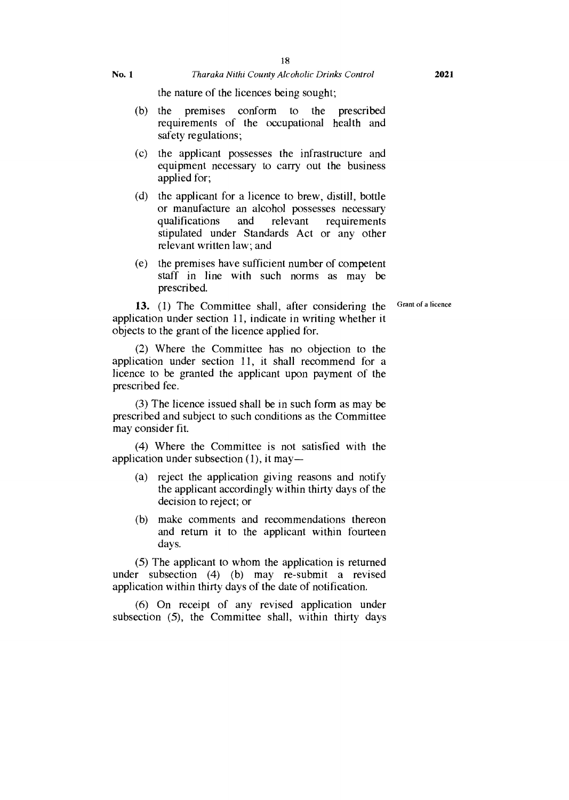the nature of the licences being sought;

- (b) the premises conform to the prescribed requirements of the occupational health and safety regulations;
- (c) the applicant possesses the infrastructure and equipment necessary to carry out the business applied for;
- (d) the applicant for a licence to brew, distill, bottle or manufacture an alcohol possesses necessary qualifications and relevant requirements stipulated under Standards Act or any other relevant written law; and
- (e) the premises have sufficient number of competent staff in line with such norms as may be prescribed.

13. (1) The Committee shall, after considering the Grant of a licence application under section 11, indicate in writing whether it objects to the grant of the licence applied for.

(2) Where the Committee has no objection to the application under section 11, it shall recommend for a licence to be granted the applicant upon payment of the prescribed fee.

(3) The licence issued shall be in such form as may be prescribed and subject to such conditions as the Committee may consider fit.

(4) Where the Committee is not satisfied with the application under subsection (1), it may—

- (a) reject the application giving reasons and notify the applicant accordingly within thirty days of the decision to reject; or
- (b) make comments and recommendations thereon and return it to the applicant within fourteen days.

(5) The applicant to whom the application is returned under subsection (4) (b) may re-submit a revised application within thirty days of the date of notification.

(6) On receipt of any revised application under subsection (5), the Committee shall, within thirty days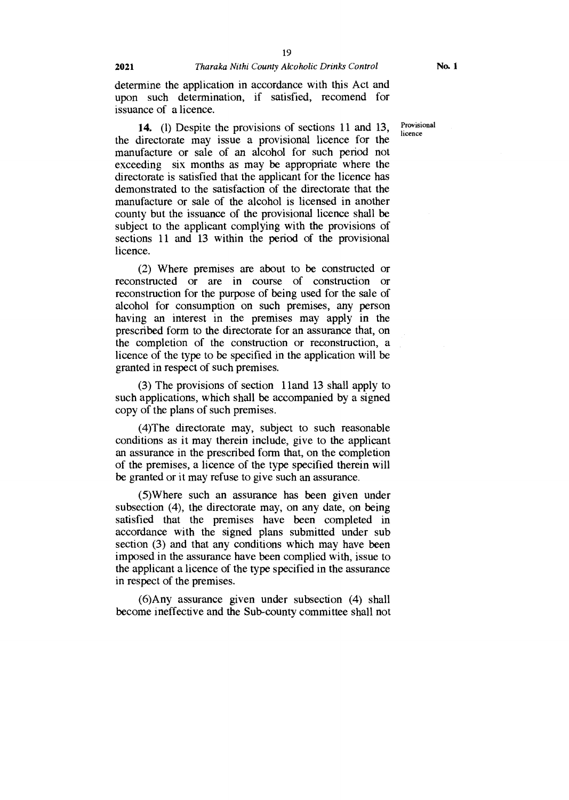**14.** (1) Despite the provisions of sections 11 and 13, the directorate may issue a provisional licence for the manufacture or sale of an alcohol for such period not exceeding six months as may be appropriate where the directorate is satisfied that the applicant for the licence has demonstrated to the satisfaction of the directorate that the manufacture or sale of the alcohol is licensed in another county but the issuance of the provisional licence shall be subject to the applicant complying with the provisions of sections 11 and 13 within the period of the provisional licence.

(2) Where premises are about to be constructed or reconstructed or are in course of construction or reconstruction for the purpose of being used for the sale of alcohol for consumption on such premises, any person having an interest in the premises may apply in the prescribed form to the directorate for an assurance that, on the completion of the construction or reconstruction, a licence of the type to be specified in the application will be granted in respect of such premises.

(3) The provisions of section 1 land 13 shall apply to such applications, which shall be accompanied by a signed copy of the plans of such premises.

(4)The directorate may, subject to such reasonable conditions as it may therein include, give to the applicant an assurance in the prescribed form that, on the completion of the premises, a licence of the type specified therein will be granted or it may refuse to give such an assurance.

(5)Where such an assurance has been given under subsection (4), the directorate may, on any date, on being satisfied that the premises have been completed in accordance with the signed plans submitted under sub section (3) and that any conditions which may have been imposed in the assurance have been complied with, issue to the applicant a licence of the type specified in the assurance in respect of the premises.

(6)Any assurance given under subsection (4) shall become ineffective and the Sub-county committee shall not Provisional licence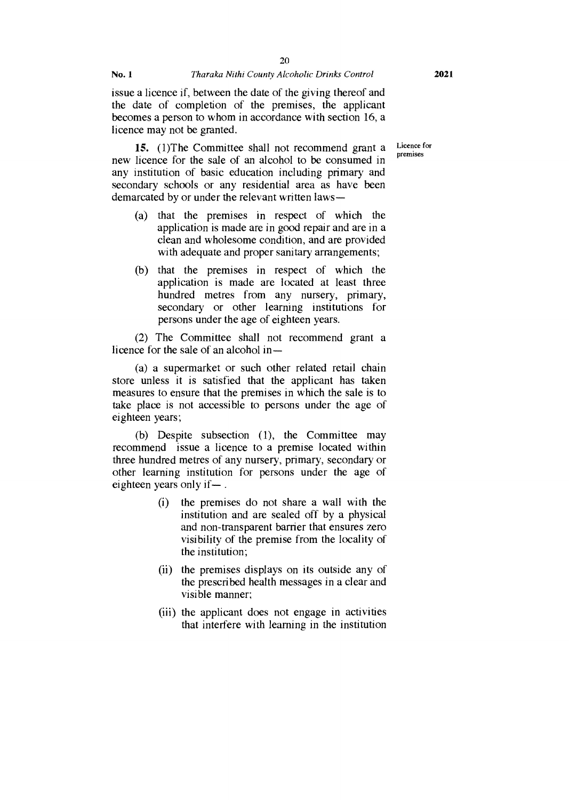issue a licence if, between the date of the giving thereof and the date of completion of the premises, the applicant becomes a person to whom in accordance with section 16, a licence may not be granted.

new licence for the sale of an alcohol to be consumed in 15. **(1)The Committee shall not recommend grant a** Licence for any institution of basic education including primary and secondary schools or any residential area as have been demarcated by or under the relevant written laws —

- (a) that the premises in respect of which the application is made are in good repair and are in a clean and wholesome condition, and are provided with adequate and proper sanitary arrangements;
- (b) that the premises in respect of which the application is made are located at least three hundred metres from any nursery, primary, secondary or other learning institutions for persons under the age of eighteen years.

(2) The Committee shall not recommend grant a licence for the sale of an alcohol in —

(a) a supermarket or such other related retail chain store unless it is satisfied that the applicant has taken measures to ensure that the premises in which the sale is to take place is not accessible to persons under the age of eighteen years;

(b) Despite subsection (1), the Committee may recommend issue a licence to a premise located within three hundred metres of any nursery, primary, secondary or other learning institution for persons under the age of eighteen years only if— .

- (i) the premises do not share a wall with the institution and are sealed off by a physical and non-transparent barrier that ensures zero visibility of the premise from the locality of the institution;
- (ii) the premises displays on its outside any of the prescribed health messages in a clear and visible manner;
- (iii) the applicant does not engage in activities that interfere with learning in the institution

premises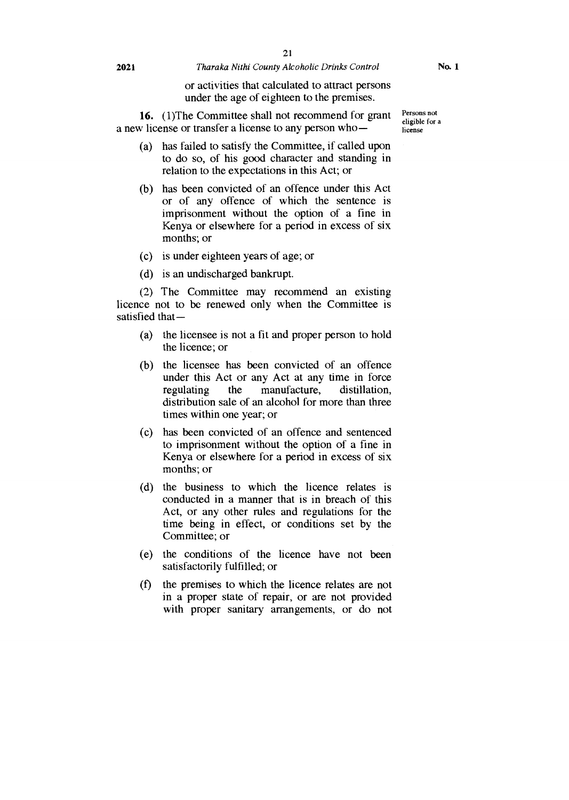#### **2021** *Tharaka Nithi County Alcoholic Drinks Control*

or activities that calculated to attract persons under the age of eighteen to the premises.

**16.** (1)The Committee shall not recommend for grant a new license or transfer a license to any person who—

- (a) has failed to satisfy the Committee, if called upon to do so, of his good character and standing in relation to the expectations in this Act; or
- (b) has been convicted of an offence under this Act or of any offence of which the sentence is imprisonment without the option of a fine in Kenya or elsewhere for a period in excess of six months; or
- (c) is under eighteen years of age; or
- (d) is an undischarged bankrupt.

(2) The Committee may recommend an existing licence not to be renewed only when the Committee is satisfied that—

- (a) the licensee is not a fit and proper person to hold the licence; or
- (b) the licensee has been convicted of an offence under this Act or any Act at any time in force regulating the manufacture, distillation, distribution sale of an alcohol for more than three times within one year; or
- (c) has been convicted of an offence and sentenced to imprisonment without the option of a fine in Kenya or elsewhere for a period in excess of six months; or
- (d) the business to which the licence relates is conducted in a manner that is in breach of this Act, or any other rules and regulations for the time being in effect, or conditions set by the Committee; or
- (e) the conditions of the licence have not been satisfactorily fulfilled; or
- (f) the premises to which the licence relates are not in a proper state of repair, or are not provided with proper sanitary arrangements, or do not

Persons not eligible for a license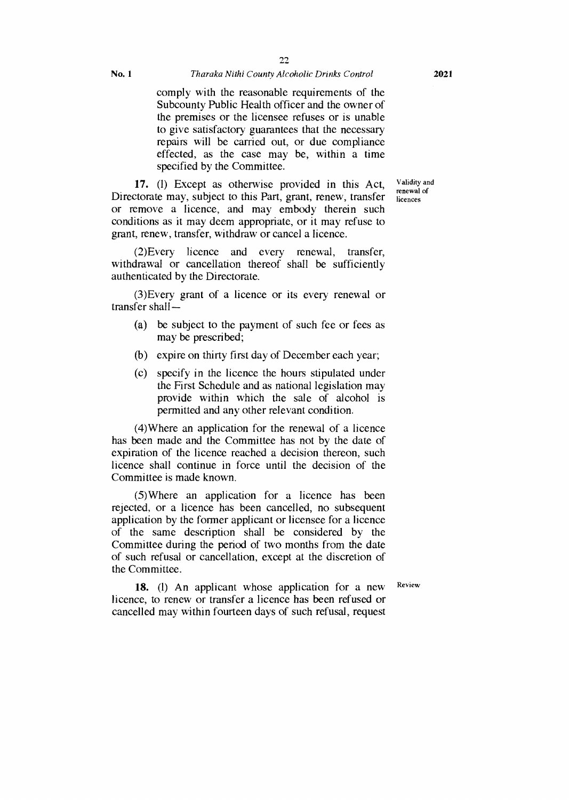#### No. 1 *Tharaka Nithi County Alcoholic Drinks Control*

comply with the reasonable requirements of the Subcounty Public Health officer and the owner of the premises or the licensee refuses or is unable to give satisfactory guarantees that the necessary repairs will be carried out, or due compliance effected, as the case may be, within a time specified by the Committee.

**17.** (1) Except as otherwise provided in this Act, Directorate may, subject to this Part, grant, renew, transfer or remove a licence, and may embody therein such conditions as it may deem appropriate, or it may refuse to grant, renew, transfer, withdraw or cancel a licence.

(2)Every licence and every renewal, transfer, withdrawal or cancellation thereof shall be sufficiently authenticated by the Directorate.

(3)Every grant of a licence or its every renewal or transfer shall —

- (a) be subject to the payment of such fee or fees as may be prescribed;
- (b) expire on thirty first day of December each year;
- (c) specify in the licence the hours stipulated under the First Schedule and as national legislation may provide within which the sale of alcohol is permitted and any other relevant condition.

(4)Where an application for the renewal of a licence has been made and the Committee has not by the date of expiration of the licence reached a decision thereon, such licence shall continue in force until the decision of the Committee is made known.

(5)Where an application for a licence has been rejected, or a licence has been cancelled, no subsequent application by the former applicant or licensee for a licence of the same description shall be considered by the Committee during the period of two months from the date of such refusal or cancellation, except at the discretion of the Committee.

18. **(1)** An applicant whose application for a new Review licence, to renew or transfer a licence has been refused or cancelled may within fourteen days of such refusal, request

Validity and renewal of licences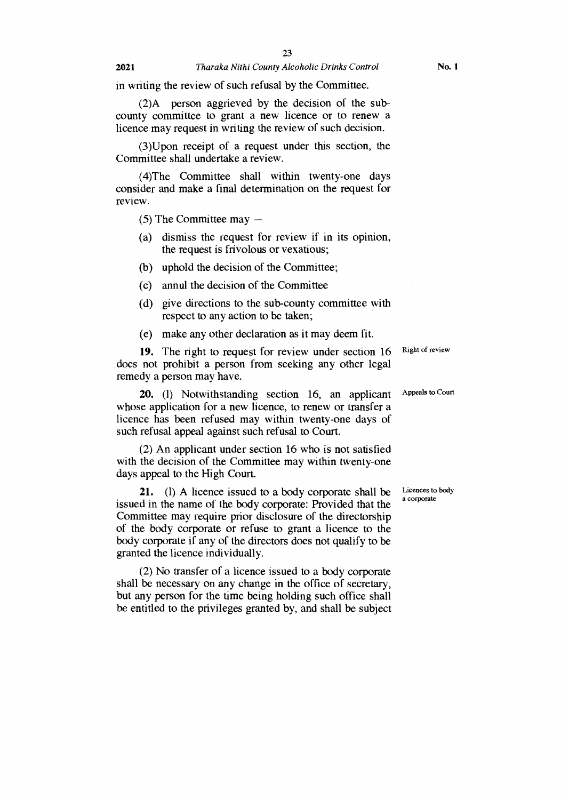in writing the review of such refusal by the Committee.

(2)A person aggrieved by the decision of the subcounty committee to grant a new licence or to renew a licence may request in writing the review of such decision.

(3)Upon receipt of a request under this section, the Committee shall undertake a review.

(4)The Committee shall within twenty-one days consider and make a final determination on the request for review.

(5) The Committee may —

- (a) dismiss the request for review if in its opinion, the request is frivolous or vexatious;
- (b) uphold the decision of the Committee;
- (c) annul the decision of the Committee
- (d) give directions to the sub-county committee with respect to any action to be taken;
- (e) make any other declaration as it may deem fit.

19. The right to request for review under section 16 does not prohibit a person from seeking any other legal remedy a person may have.

20. (1) Notwithstanding section 16, an applicant whose application for a new licence, to renew or transfer a licence has been refused may within twenty-one days of such refusal appeal against such refusal to Court.

(2) An applicant under section 16 who is not satisfied with the decision of the Committee may within twenty-one days appeal to the High Court.

21. (1) A licence issued to a body corporate shall be issued in the name of the body corporate: Provided that the Committee may require prior disclosure of the directorship of the body corporate or refuse to grant a licence to the body corporate if any of the directors does not qualify to be granted the licence individually.

(2) No transfer of a licence issued to a body corporate shall be necessary on any change in the office of secretary, but any person for the time being holding such office shall be entitled to the privileges granted by, and shall be subject Right of review

Appeals to Court

Licences to body a corporate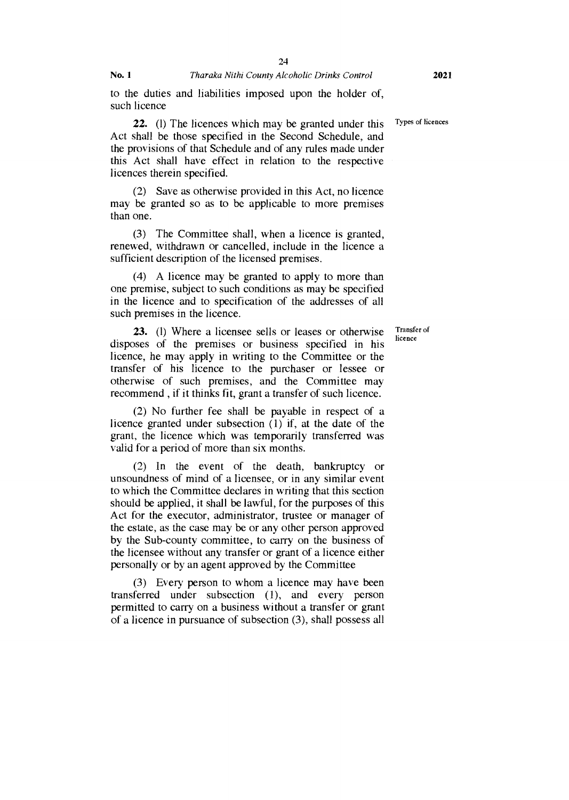such licence

22. (1) The licences which may be granted under this Types of licences Act shall be those specified in the Second Schedule, and the provisions of that Schedule and of any rules made under this Act shall have effect in relation to the respective licences therein specified.

(2) Save as otherwise provided in this Act, no licence may be granted so as to be applicable to more premises than one.

(3) The Committee shall, when a licence is granted, renewed, withdrawn or cancelled, include in the licence a sufficient description of the licensed premises.

(4) A licence may be granted to apply to more than one premise, subject to such conditions as may be specified in the licence and to specification of the addresses of all such premises in the licence.

**23.** (1) Where a licensee sells or leases or otherwise disposes of the premises or business specified in his licence, he may apply in writing to the Committee or the transfer of his licence to the purchaser or lessee or otherwise of such premises, and the Committee may recommend , if it thinks fit, grant a transfer of such licence.

(2) No further fee shall be payable in respect of a licence granted under subsection (1) if, at the date of the grant, the licence which was temporarily transferred was valid for a period of more than six months.

(2) In the event of the death, bankruptcy or unsoundness of mind of a licensee, or in any similar event to which the Committee declares in writing that this section should be applied, it shall be lawful, for the purposes of this Act for the executor, administrator, trustee or manager of the estate, as the case may be or any other person approved by the Sub-county committee, to carry on the business of the licensee without any transfer or grant of a licence either personally or by an agent approved by the Committee

(3) Every person to whom a licence may have been transferred under subsection (1), and every person permitted to carry on a business without a transfer or grant of a licence in pursuance of subsection (3), shall possess all

Transfer of licence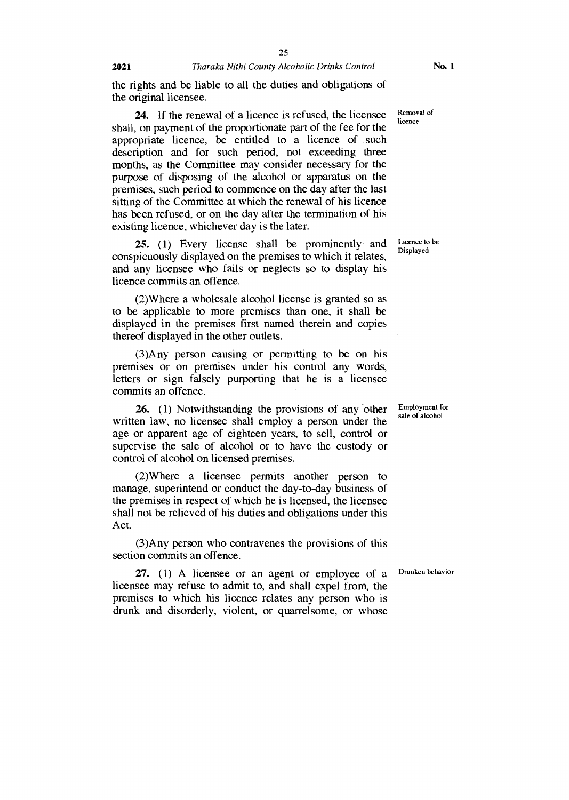the rights and be liable to all the duties and obligations of the original licensee.

24. If the renewal of a licence is refused, the licensee shall, on payment of the proportionate part of the fee for the appropriate licence, be entitled to a licence of such description and for such period, not exceeding three months, as the Committee may consider necessary for the purpose of disposing of the alcohol or apparatus on the premises, such period to commence on the day after the last sitting of the Committee at which the renewal of his licence has been refused, or on the day after the termination of his existing licence, whichever day is the later.

25. (1) Every license shall be prominently and conspicuously displayed on the premises to which it relates, and any licensee who fails or neglects so to display his licence commits an offence.

(2)Where a wholesale alcohol license is granted so as to be applicable to more premises than one, it shall be displayed in the premises first named therein and copies thereof displayed in the other outlets.

(3)Any person causing or permitting to be on his premises or on premises under his control any words, letters or sign falsely purporting that he is a licensee commits an offence.

26. (1) Notwithstanding the provisions of any other written law, no licensee shall employ a person under the age or apparent age of eighteen years, to sell, control or supervise the sale of alcohol or to have the custody or control of alcohol on licensed premises.

(2)Where a licensee permits another person to manage, superintend or conduct the day-to-day business of the premises in respect of which he is licensed, the licensee shall not be relieved of his duties and obligations under this Act.

(3)Any person who contravenes the provisions of this section commits an offence.

27. (1) A licensee or an agent or employee of a licensee may refuse to admit to, and shall expel from, the premises to which his licence relates any person who is drunk and disorderly, violent, or quarrelsome, or whose

Removal of licence

Licence to be Displayed

Employment for sale of alcohol

Drunken behavior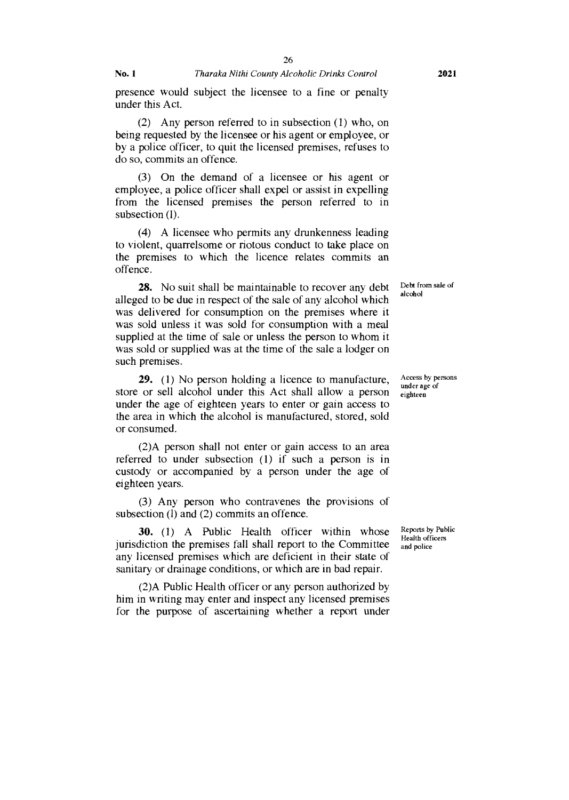26

presence would subject the licensee to a fine or penalty under this Act.

(2) Any person referred to in subsection (1) who, on being requested by the licensee or his agent or employee, or by a police officer, to quit the licensed premises, refuses to do so, commits an offence.

(3) On the demand of a licensee or his agent or employee, a police officer shall expel or assist in expelling from the licensed premises the person referred to in subsection (1).

(4) A licensee who permits any drunkenness leading to violent, quarrelsome or riotous conduct to take place on the premises to which the licence relates commits an offence.

28. No suit shall be maintainable to recover any debt alleged to be due in respect of the sale of any alcohol which was delivered for consumption on the premises where it was sold unless it was sold for consumption with a meal supplied at the time of sale or unless the person to whom it was sold or supplied was at the time of the sale a lodger on such premises.

29. (1) No person holding a licence to manufacture, store or sell alcohol under this Act shall allow a person under the age of eighteen years to enter or gain access to the area in which the alcohol is manufactured, stored, sold or consumed.

(2)A person shall not enter or gain access to an area referred to under subsection (1) if such a person is in custody or accompanied by a person under the age of eighteen years.

(3) Any person who contravenes the provisions of subsection (1) and (2) commits an offence.

30. (1) A Public Health officer within whose jurisdiction the premises fall shall report to the Committee any licensed premises which are deficient in their state of sanitary or drainage conditions, or which are in bad repair.

(2)A Public Health officer or any person authorized by him in writing may enter and inspect any licensed premises for the purpose of ascertaining whether a report under

Debt from sale of alcohol

Access by persons under age of eighteen

Reports by Public Health officers and police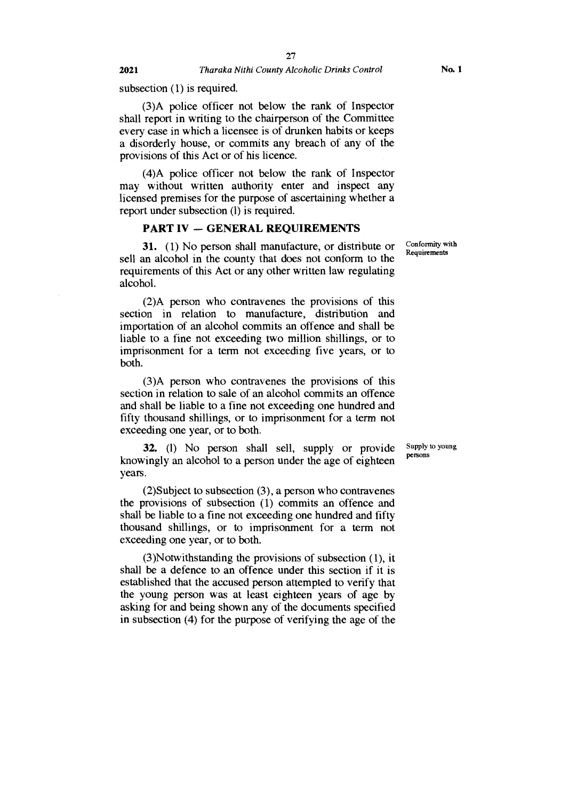subsection (1) is required.

(3)A police officer not below the rank of Inspector shall report in writing to the chairperson of the Committee every case in which a licensee is of drunken habits or keeps a disorderly house, or commits any breach of any of the provisions of this Act or of his licence.

(4)A police officer not below the rank of Inspector may without written authority enter and inspect any licensed premises for the purpose of ascertaining whether a report under subsection (1) is required.

#### **PART IV — GENERAL REQUIREMENTS**

31. (1) No person shall manufacture, or distribute or sell an alcohol in the county that does not conform to the requirements of this Act or any other written law regulating alcohol.

(2)A person who contravenes the provisions of this section in relation to manufacture, distribution and importation of an alcohol commits an offence and shall be liable to a fine not exceeding two million shillings, or to imprisonment for a term not exceeding five years, or to both.

(3)A person who contravenes the provisions of this section in relation to sale of an alcohol commits an offence and shall be liable to a fine not exceeding one hundred and fifty thousand shillings, or to imprisonment for a term not exceeding one year, or to both.

**32. (1)** No person shall sell, supply or provide knowingly an alcohol to a person under the age of eighteen years.

(2)Subject to subsection (3), a person who contravenes the provisions of subsection (1) commits an offence and shall be liable to a fine not exceeding one hundred and fifty thousand shillings, or to imprisonment for a term not exceeding one year, or to both.

(3)Notwithstanding the provisions of subsection (1), it shall be a defence to an offence under this section if it is established that the accused person attempted to verify that the young person was at least eighteen years of age by asking for and being shown any of the documents specified in subsection (4) for the purpose of verifying the age of the

Conformity with Requirements

Supply to young persons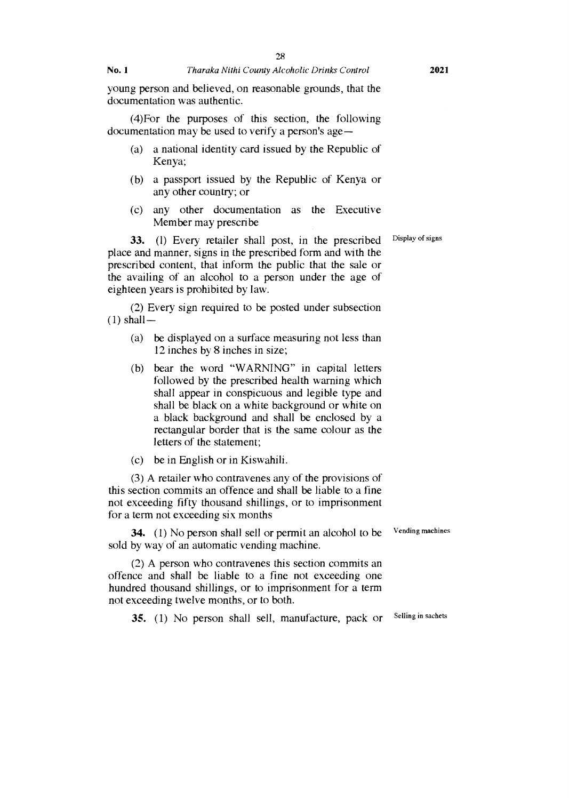**No. 1** *Tharaka Nithi County Alcoholic Drinks Control* **2021** 

(4)For the purposes of this section, the following documentation may be used to verify a person's age —

- (a) a national identity card issued by the Republic of Kenya;
- (b) a passport issued by the Republic of Kenya or any other country; or
- (c) any other documentation as the Executive Member may prescribe

33. (1) Every retailer shall post, in the prescribed Display of signs place and manner, signs in the prescribed form and with the prescribed content, that inform the public that the sale or the availing of an alcohol to a person under the age of eighteen years is prohibited by law.

(2) Every sign required to be posted under subsection  $(1)$  shall  $-$ 

- (a) be displayed on a surface measuring not less than 12 inches by 8 inches in size;
- (b) bear the word "WARNING" in capital letters followed by the prescribed health warning which shall appear in conspicuous and legible type and shall be black on a white background or white on a black background and shall be enclosed by a rectangular border that is the same colour as the letters of the statement;
- (c) be in English or in Kiswahili.

(3) A retailer who contravenes any of the provisions of this section commits an offence and shall be liable to a fine not exceeding fifty thousand shillings, or to imprisonment for a term not exceeding six months

**34.** (1) No person shall sell or permit an alcohol to be Vending machines sold by way of an automatic vending machine.

(2) A person who contravenes this section commits an offence and shall be liable to a fine not exceeding one hundred thousand shillings, or to imprisonment for a term not exceeding twelve months, or to both.

**35.** (1) No person shall sell, manufacture, pack or Selling in sachets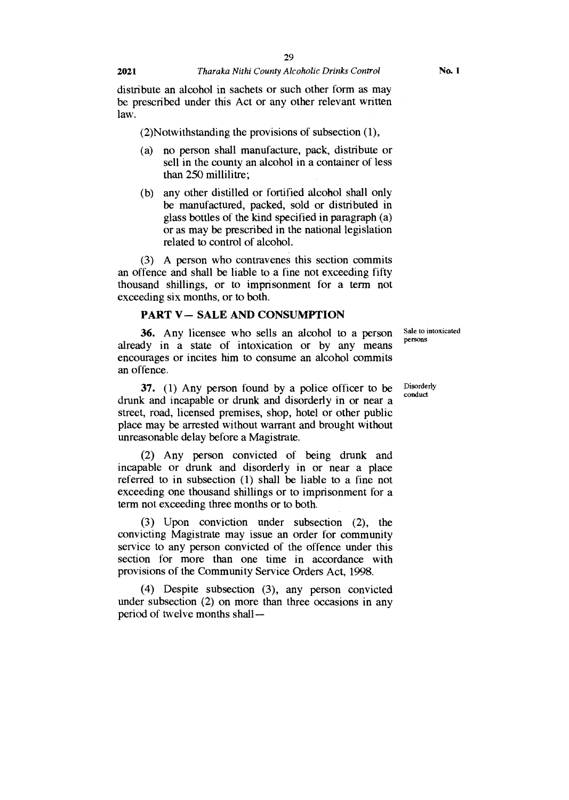distribute an alcohol in sachets or such other form as may be prescribed under this Act or any other relevant written law.

(2)Notwithstanding the provisions of subsection (1),

- (a) no person shall manufacture, pack, distribute or sell in the county an alcohol in a container of less than 250 millilitre;
- (b) any other distilled or fortified alcohol shall only be manufactured, packed, sold or distributed in glass bottles of the kind specified in paragraph (a) or as may be prescribed in the national legislation related to control of alcohol.

(3) A person who contravenes this section commits an offence and shall be liable to a fine not exceeding fifty thousand shillings, or to imprisonment for a term not exceeding six months, or to both.

#### **PART V— SALE AND CONSUMPTION**

36. Any licensee who sells an alcohol to a person already in a state of intoxication or by any means encourages or incites him to consume an alcohol commits an offence.

37. (1) Any person found by a police officer to be drunk and incapable or drunk and disorderly in or near a street, road, licensed premises, shop, hotel or other public place may be arrested without warrant and brought without unreasonable delay before a Magistrate.

(2) Any person convicted of being drunk and incapable or drunk and disorderly in or near a place referred to in subsection (1) shall be liable to a fine not exceeding one thousand shillings or to imprisonment for a term not exceeding three months or to both.

(3) Upon conviction under subsection (2), the convicting Magistrate may issue an order for community service to any person convicted of the offence under this section for more than one time in accordance with provisions of the Community Service Orders Act, 1998.

(4) Despite subsection (3), any person convicted under subsection (2) on more than three occasions in any period of twelve months shallSale to intoxicated persons

Disorderly conduct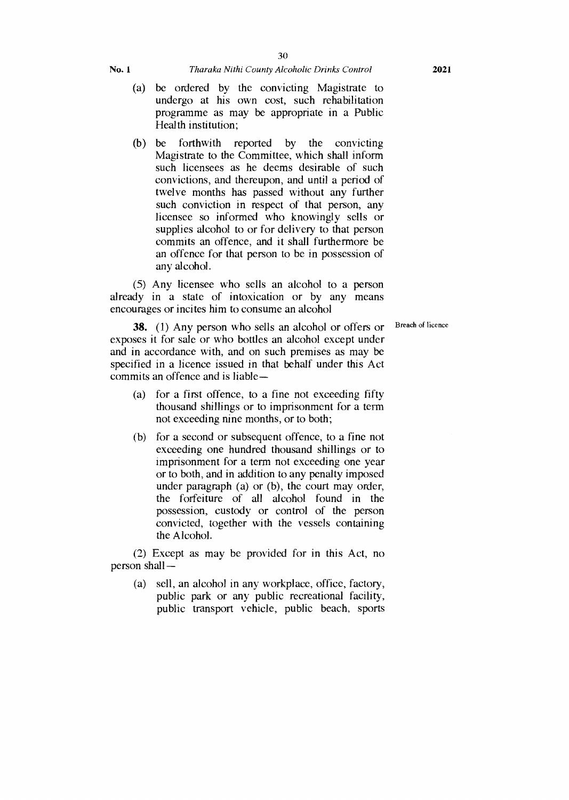- (a) be ordered by the convicting Magistrate to undergo at his own cost, such rehabilitation programme as may be appropriate in a Public Health institution;
- (b) be forthwith reported by the convicting Magistrate to the Committee, which shall inform such licensees as he deems desirable of such convictions, and thereupon, and until a period of twelve months has passed without any further such conviction in respect of that person, any licensee so informed who knowingly sells or supplies alcohol to or for delivery to that person commits an offence, and it shall furthermore be an offence for that person to be in possession of any alcohol.

(5) Any licensee who sells an alcohol to a person already in a state of intoxication or by any means encourages or incites him to consume an alcohol

Breach of licence

**38.** (1) Any person who sells an alcohol or offers or exposes it for sale or who bottles an alcohol except under and in accordance with, and on such premises as may be specified in a licence issued in that behalf under this Act commits an offence and is liable—

- (a) for a first offence, to a fine not exceeding fifty thousand shillings or to imprisonment for a term not exceeding nine months, or to both;
- (b) for a second or subsequent offence, to a fine not exceeding one hundred thousand shillings or to imprisonment for a term not exceeding one year or to both, and in addition to any penalty imposed under paragraph (a) or (b), the court may order, the forfeiture of all alcohol found in the possession, custody or control of the person convicted, together with the vessels containing the Alcohol.

(2) Except as may be provided for in this Act, no person shall—

(a) sell, an alcohol in any workplace, office, factory, public park or any public recreational facility, public transport vehicle, public beach, sports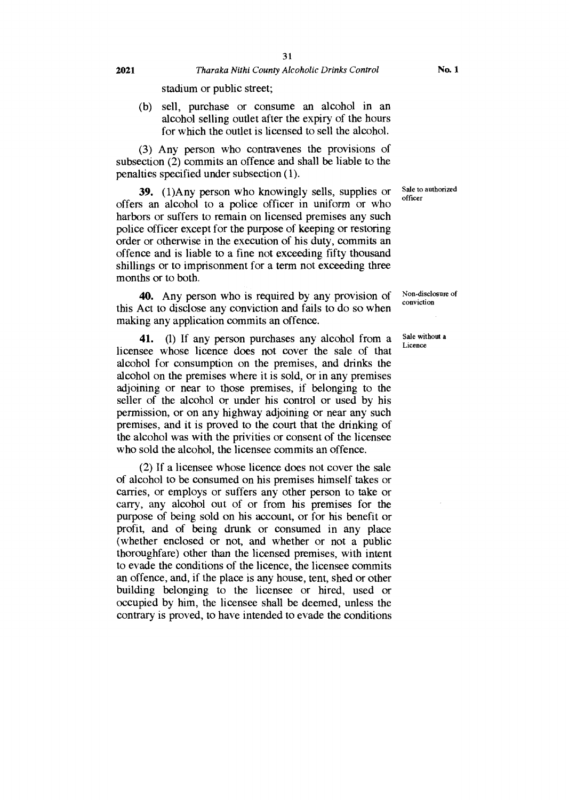stadium or public street;

(b) sell, purchase or consume an alcohol in an alcohol selling outlet after the expiry of the hours for which the outlet is licensed to sell the alcohol.

(3) Any person who contravenes the provisions of subsection (2) commits an offence and shall be liable to the penalties specified under subsection (1).

**39.** (1)Any person who knowingly sells, supplies or offers an alcohol to a police officer in uniform or who harbors or suffers to remain on licensed premises any such police officer except for the purpose of keeping or restoring order or otherwise in the execution of his duty, commits an offence and is liable to a fine not exceeding fifty thousand shillings or to imprisonment for a term not exceeding three months or to both.

40. Any person who is required by any provision of this Act to disclose any conviction and fails to do so when making any application commits an offence.

41. (1) If any person purchases any alcohol from a licensee whose licence does not cover the sale of that alcohol for consumption on the premises, and drinks the alcohol on the premises where it is sold, or in any premises adjoining or near to those premises, if belonging to the seller of the alcohol or under his control or used by his permission, or on any highway adjoining or near any such premises, and it is proved to the court that the drinking of the alcohol was with the privities or consent of the licensee who sold the alcohol, the licensee commits an offence.

(2) If a licensee whose licence does not cover the sale of alcohol to be consumed on his premises himself takes or carries, or employs or suffers any other person to take or carry, any alcohol out of or from his premises for the purpose of being sold on his account, or for his benefit or profit, and of being drunk or consumed in any place (whether enclosed or not, and whether or not a public thoroughfare) other than the licensed premises, with intent to evade the conditions of the licence, the licensee commits an offence, and, if the place is any house, tent, shed or other building belonging to the licensee or hired, used or occupied by him, the licensee shall be deemed, unless the contrary is proved, to have intended to evade the conditions

Sale to authorized officer

Non-disclosure of

Sale without a Licence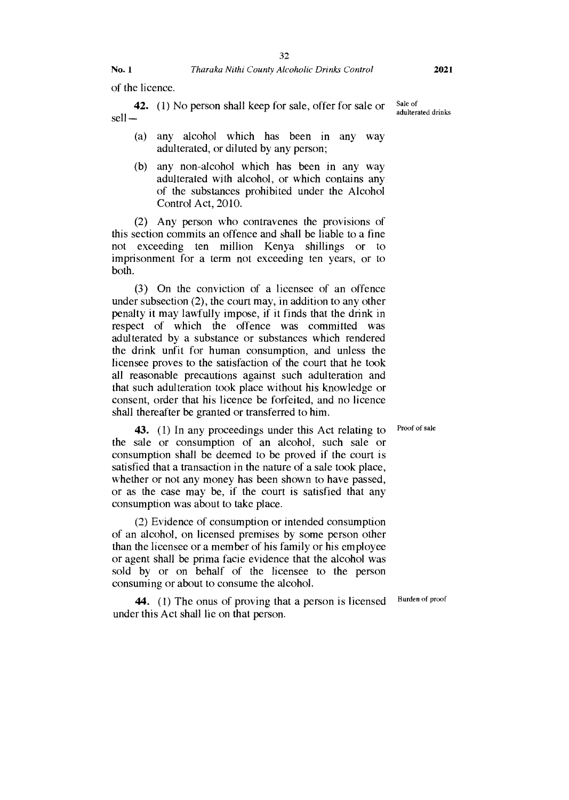of the licence.

**42.** (1) No person shall keep for sale, offer for sale or sell —

- (a) any alcohol which has been in any way adulterated, or diluted by any person;
- (b) any non-alcohol which has been in any way adulterated with alcohol, or which contains any of the substances prohibited under the Alcohol Control Act, 2010.

(2) Any person who contravenes the provisions of this section commits an offence and shall be liable to a fine not exceeding ten million Kenya shillings or to imprisonment for a term not exceeding ten years, or to both.

(3) On the conviction of a licensee of an offence under subsection (2), the court may, in addition to any other penalty it may lawfully impose, if it finds that the drink in respect of which the offence was committed was adulterated by a substance or substances which rendered the drink unfit for human consumption, and unless the licensee proves to the satisfaction of the court that he took all reasonable precautions against such adulteration and that such adulteration took place without his knowledge or consent, order that his licence be forfeited, and no licence shall thereafter be granted or transferred to him.

**43.** (1) In any proceedings under this Act relating to the sale or consumption of an alcohol, such sale or consumption shall be deemed to be proved if the court is satisfied that a transaction in the nature of a sale took place, whether or not any money has been shown to have passed, or as the case may be, if the court is satisfied that any consumption was about to take place.

(2) Evidence of consumption or intended consumption of an alcohol, on licensed premises by some person other than the licensee or a member of his family or his employee or agent shall be prima facie evidence that the alcohol was sold by or on behalf of the licensee to the person consuming or about to consume the alcohol.

**44.** (1) The onus of proving that a person is licensed under this Act shall lie on that person.

Sale of adulterated drinks

Proof of sale

Burden of proof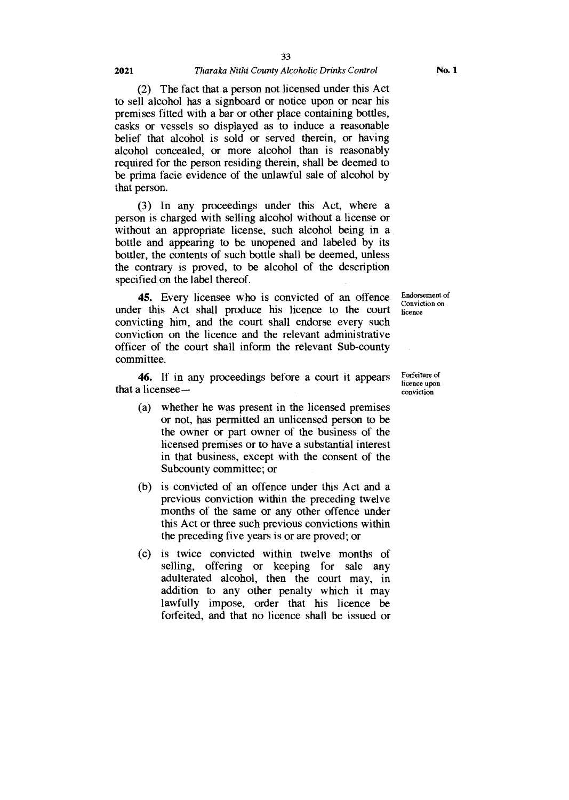#### **2021** *Tharaka Nithi County Alcoholic Drinks Control*

(2) The fact that a person not licensed under this Act to sell alcohol has a signboard or notice upon or near his premises fitted with a bar or other place containing bottles, casks or vessels so displayed as to induce a reasonable belief that alcohol is sold or served therein, or having alcohol concealed, or more alcohol than is reasonably required for the person residing therein, shall be deemed to be prima facie evidence of the unlawful sale of alcohol by that person.

(3) In any proceedings under this Act, where a person is charged with selling alcohol without a license or without an appropriate license, such alcohol being in a bottle and appearing to be unopened and labeled by its bottler, the contents of such bottle shall be deemed, unless the contrary is proved, to be alcohol of the description specified on the label thereof.

45. Every licensee who is convicted of an offence under this Act shall produce his licence to the court convicting him, and the court shall endorse every such conviction on the licence and the relevant administrative officer of the court shall inform the relevant Sub-county committee.

46. If in any proceedings before a court it appears that a licensee —

- (a) whether he was present in the licensed premises or not, has permitted an unlicensed person to be the owner or part owner of the business of the licensed premises or to have a substantial interest in that business, except with the consent of the Subcounty committee; or
- (b) is convicted of an offence under this Act and a previous conviction within the preceding twelve months of the same or any other offence under this Act or three such previous convictions within the preceding five years is or are proved; or
- (c) is twice convicted within twelve months of selling, offering or keeping for sale any adulterated alcohol, then the court may, in addition to any other penalty which it may lawfully impose, order that his licence be forfeited, and that no licence shall be issued or

Forfeiture of licence upon conviction

Endorsement of Conviction on licence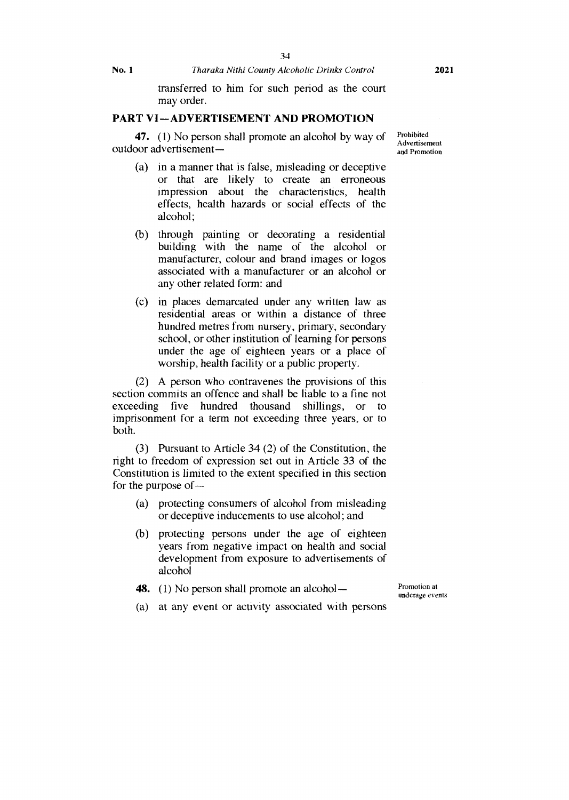transferred to him for such period as the court may order.

#### **PART VI—ADVERTISEMENT AND PROMOTION**

**47.** (1) No person shall promote an alcohol by way of outdoor advertisement —

- (a) in a manner that is false, misleading or deceptive or that are likely to create an erroneous impression about the characteristics, health effects, health hazards or social effects of the alcohol;
- (b) through painting or decorating a residential building with the name of the alcohol or manufacturer, colour and brand images or logos associated with a manufacturer or an alcohol or any other related form: and
- (c) in places demarcated under any written law as residential areas or within a distance of three hundred metres from nursery, primary, secondary school, or other institution of learning for persons under the age of eighteen years or a place of worship, health facility or a public property.

(2) A person who contravenes the provisions of this section commits an offence and shall be liable to a fine not exceeding five hundred thousand shillings, or to imprisonment for a term not exceeding three years, or to both.

(3) Pursuant to Article 34 (2) of the Constitution, the right to freedom of expression set out in Article 33 of the Constitution is limited to the extent specified in this section for the purpose of —

- (a) protecting consumers of alcohol from misleading or deceptive inducements to use alcohol; and
- (b) protecting persons under the age of eighteen years from negative impact on health and social development from exposure to advertisements of alcohol
- **48.** (1) No person shall promote an alcohol —

Promotion at underage *events* 

(a) at any event or activity associated with persons

Prohibited Advertisement and Promotion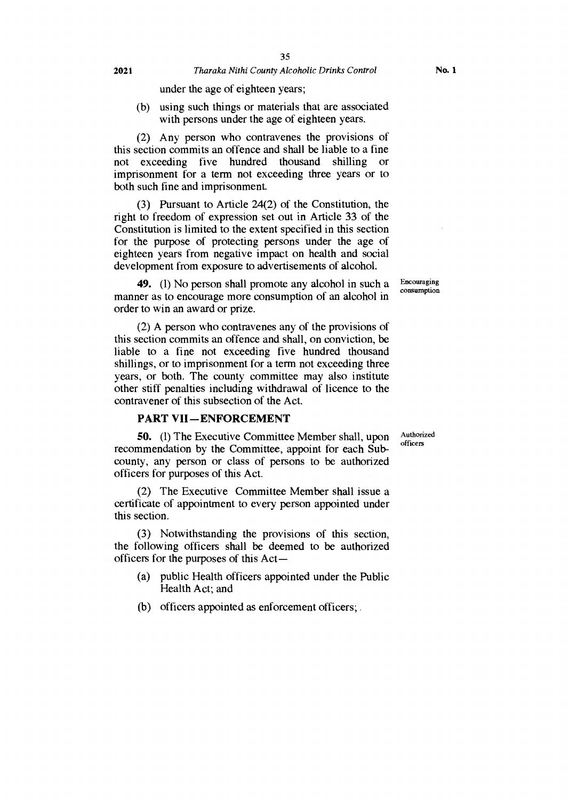under the age of eighteen years;

(b) using such things or materials that are associated with persons under the age of eighteen years.

(2) Any person who contravenes the provisions of this section commits an offence and shall be liable to a fine not exceeding five hundred thousand shilling or imprisonment for a term not exceeding three years or to both such fine and imprisonment.

(3) Pursuant to Article 24(2) of the Constitution, the right to freedom of expression set out in Article 33 of the Constitution is limited to the extent specified in this section for the purpose of protecting persons under the age of eighteen years from negative impact on health and social development from exposure to advertisements of alcohol.

49. (1) No person shall promote any alcohol in such a manner as to encourage more consumption of an alcohol in order to win an award or prize.

(2) A person who contravenes any of the provisions of this section commits an offence and shall, on conviction, be liable to a fine not exceeding five hundred thousand shillings, or to imprisonment for a term not exceeding three years, or both. The county committee may also institute other stiff penalties including withdrawal of licence to the contravener of this subsection of the Act.

#### **PART VII —ENFORCEMENT**

50. (1) The Executive Committee Member shall, upon recommendation by the Committee, appoint for each Subcounty, any person or class of persons to be authorized officers for purposes of this Act.

(2) The Executive Committee Member shall issue a certificate of appointment to every person appointed under this section.

(3) Notwithstanding the provisions of this section, the following officers shall be deemed to be authorized officers for the purposes of this Act—

- (a) public Health officers appointed under the Public Health Act; and
- (b) officers appointed as enforcement officers; .

Encouraging consumption

Authorized officers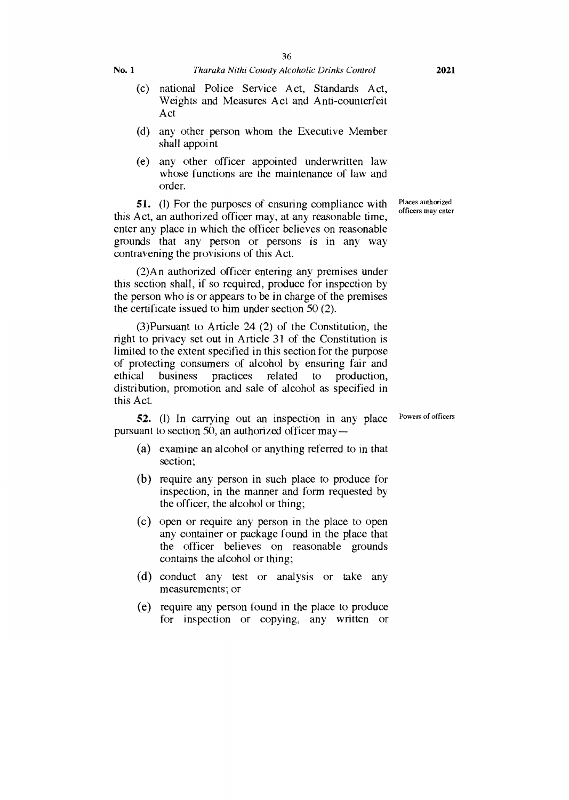- (c) national Police Service Act, Standards Act, Weights and Measures Act and Anti-counterfeit Act
- (d) any other person whom the Executive Member shall appoint
- (e) any other officer appointed underwritten law whose functions are the maintenance of law and order.

51. (1) For the purposes of ensuring compliance with this Act, an authorized officer may, at any reasonable time, enter any place in which the officer believes on reasonable grounds that any person or persons is in any way contravening the provisions of this Act.

(2)An authorized officer entering any premises under this section shall, if so required, produce for inspection by the person who is or appears to be in charge of the premises the certificate issued to him under section 50 (2).

(3)Pursuant to Article 24 (2) of the Constitution, the right to privacy set out in Article 31 of the Constitution is limited to the extent specified in this section for the purpose of protecting consumers of alcohol by ensuring fair and ethical business practices related to production, distribution, promotion and sale of alcohol as specified in this Act.

52. (1) In carrying out an inspection in any place pursuant to section 50, an authorized officer may—

- (a) examine an alcohol or anything referred to in that section;
- (b) require any person in such place to produce for inspection, in the manner and form requested by the officer, the alcohol or thing;
- (c) open or require any person in the place to open any container or package found in the place that the officer believes on reasonable grounds contains the alcohol or thing;
- (d) conduct any test or analysis or take any measurements; or
- (e) require any person found in the place to produce for inspection or copying, any written or

Places authorized officers may enter

Powers of officers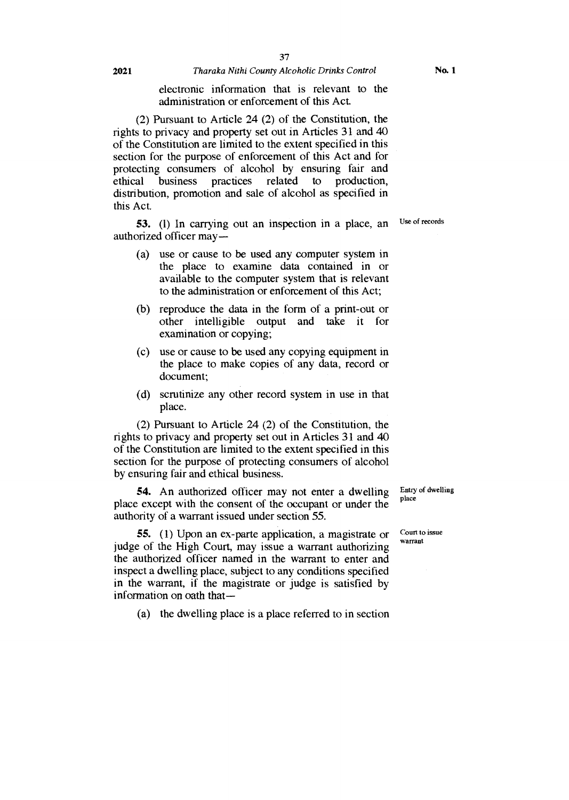#### **2021** *Tharaka Nithi County Alcoholic Drinks Control*

electronic information that is relevant to the administration or enforcement of this Act.

(2) Pursuant to Article 24 (2) of the Constitution, the rights to privacy and property set out in Articles 31 and 40 of the Constitution are limited to the extent specified in this section for the purpose of enforcement of this Act and for protecting consumers of alcohol by ensuring fair and ethical business practices related to production, distribution, promotion and sale of alcohol as specified in this Act.

**53.** (1) In carrying out an inspection in a place, an authorized officer may —

- (a) use or cause to be used any computer system in the place to examine data contained in or available to the computer system that is relevant to the administration or enforcement of this Act;
- (b) reproduce the data in the form of a print-out or other intelligible output and take it for examination or copying;
- (c) use or cause to be used any copying equipment in the place to make copies of any data, record or document;
- (d) scrutinize any other record system in use in that place.

(2) Pursuant to Article 24 (2) of the Constitution, the rights to privacy and property set out in Articles 31 and 40 of the Constitution are limited to the extent specified in this section for the purpose of protecting consumers of alcohol by ensuring fair and ethical business.

**54.** An authorized officer may not enter a dwelling place except with the consent of the occupant or under the authority of a warrant issued under section 55.

**55.** (1) Upon an ex-parte application, a magistrate or judge of the High Court, may issue a warrant authorizing the authorized officer named in the warrant to enter and inspect a dwelling place, subject to any conditions specified in the warrant, if the magistrate or judge is satisfied by information on oath that—

(a) the dwelling place is a place referred to in section

Entry of dwelling place

Court to issue warrant

Use of records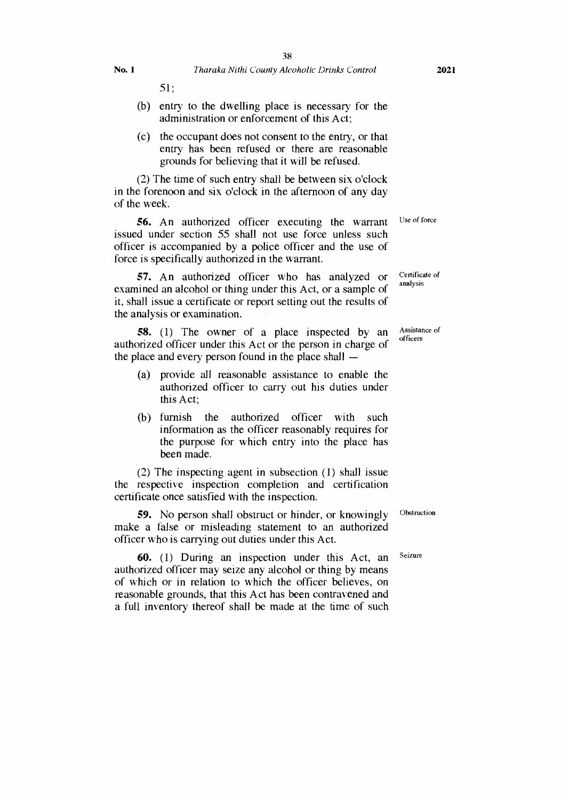51;

- (b) entry to the dwelling place is necessary for the administration or enforcement of this Act;
- (c) the occupant does not consent to the entry, or that entry has been refused or there are reasonable grounds for believing that it will be refused.

(2) The time of such entry shall be between six o'clock in the forenoon and six o'clock in the afternoon of any day of the week.

Use of force **56.** An authorized officer executing the warrant issued under section 55 shall not use force unless such officer is accompanied by a police officer and the use of force is specifically authorized in the warrant.

**57.** An authorized officer who has analyzed or examined an alcohol or thing under this Act, or a sample of it, shall issue a certificate or report setting out the results of the analysis or examination.

**58.** (1) The owner of a place inspected by an authorized officer under this Act or the person in charge of the place and every person found in the place shall —

- (a) provide all reasonable assistance to enable the authorized officer to carry out his duties under this Act;
- (b) furnish the authorized officer with such information as the officer reasonably requires for the purpose for which entry into the place has been made.

(2) The inspecting agent in subsection (1) shall issue the respective inspection completion and certification certificate once satisfied with the inspection.

**59.** No person shall obstruct or hinder, or knowingly make a false or misleading statement to an authorized officer who is carrying out duties under this Act.

**60.** (1) During an inspection under this Act, an authorized officer may seize any alcohol or thing by means of which or in relation to which the officer believes, on reasonable grounds, that this Act has been contravened and a full inventory thereof shall be made at the time of such

Certificate of analysis

Assistance of officers

Obstruction

Seizure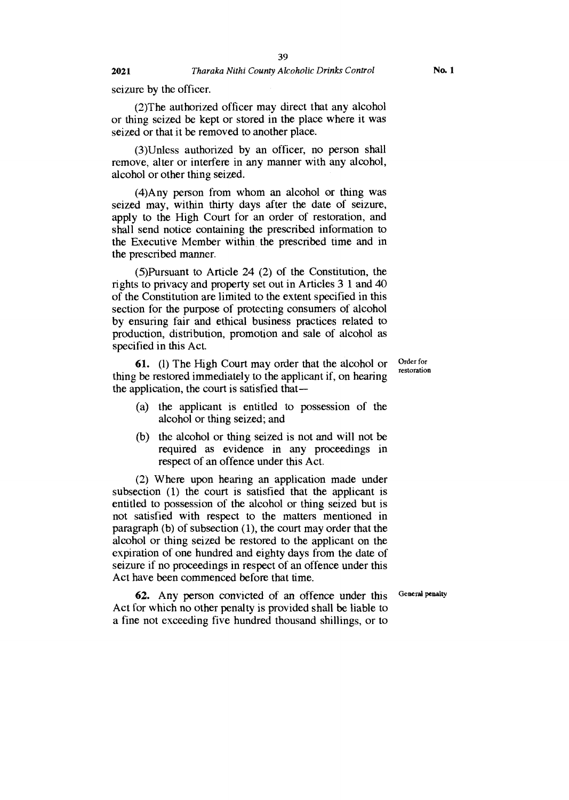seizure by the officer.

(2)The authorized officer may direct that any alcohol or thing seized be kept or stored in the place where it was seized or that it be removed to another place.

(3)Unless authorized by an officer, no person shall remove, alter or interfere in any manner with any alcohol, alcohol or other thing seized.

(4)Any person from whom an alcohol or thing was seized may, within thirty days after the date of seizure, apply to the High Court for an order of restoration, and shall send notice containing the prescribed information to the Executive Member within the prescribed time and in the prescribed manner.

(5)Pursuant to Article 24 (2) of the Constitution, the rights to privacy and property set out in Articles 3 1 and 40 of the Constitution are limited to the extent specified in this section for the purpose of protecting consumers of alcohol by ensuring fair and ethical business practices related to production, distribution, promotion and sale of alcohol as specified in this Act.

**61.** (1) The High Court may order that the alcohol or thing be restored immediately to the applicant if, on hearing the application, the court is satisfied that —

- (a) the applicant is entitled to possession of the alcohol or thing seized; and
- (b) the alcohol or thing seized is not and will not be required as evidence in any proceedings in respect of an offence under this Act.

(2) Where upon hearing an application made under subsection (1) the court is satisfied that the applicant is entitled to possession of the alcohol or thing seized but is not satisfied with respect to the matters mentioned in paragraph (b) of subsection (1), the court may order that the alcohol or thing seized be restored to the applicant on the expiration of one hundred and eighty days from the date of seizure if no proceedings in respect of an offence under this Act have been commenced before that time.

General penalty

**62.** Any person convicted of an offence under this Act for which no other penalty is provided shall be liable to a fine not exceeding five hundred thousand shillings, or to

Order for restoration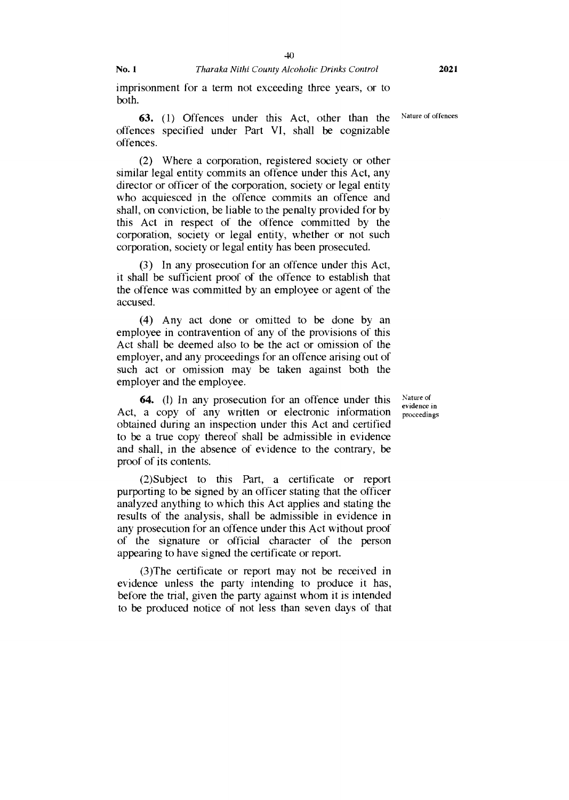imprisonment for a term not exceeding three years, or to both.

63. (1) Offences under this Act, other than the Nature of offences offences specified under Part VI, shall be cognizable offences.

(2) Where a corporation, registered society or other similar legal entity commits an offence under this Act, any director or officer of the corporation, society or legal entity who acquiesced in the offence commits an offence and shall, on conviction, be liable to the penalty provided for by this Act in respect of the offence committed by the corporation, society or legal entity, whether or not such corporation, society or legal entity has been prosecuted.

(3) In any prosecution for an offence under this Act, it shall be sufficient proof of the offence to establish that the offence was committed by an employee or agent of the accused.

(4) Any act done or omitted to be done by an employee in contravention of any of the provisions of this Act shall be deemed also to be the act or omission of the employer, and any proceedings for an offence arising out of such act or omission may be taken against both the employer and the employee.

**64.** (1) In any prosecution for an offence under this Act, a copy of any written or electronic information obtained during an inspection under this Act and certified to be a true copy thereof shall be admissible in evidence and shall, in the absence of evidence to the contrary, be proof of its contents.

(2)Subject to this Part, a certificate or report purporting to be signed by an officer stating that the officer analyzed anything to which this Act applies and stating the results of the analysis, shall be admissible in evidence in any prosecution for an offence under this Act without proof of the signature or official character of the person appearing to have signed the certificate or report.

(3)The certificate or report may not be received in evidence unless the party intending to produce it has, before the trial, given the party against whom it is intended to be produced notice of not less than seven days of that

Nature of evidence in proceedings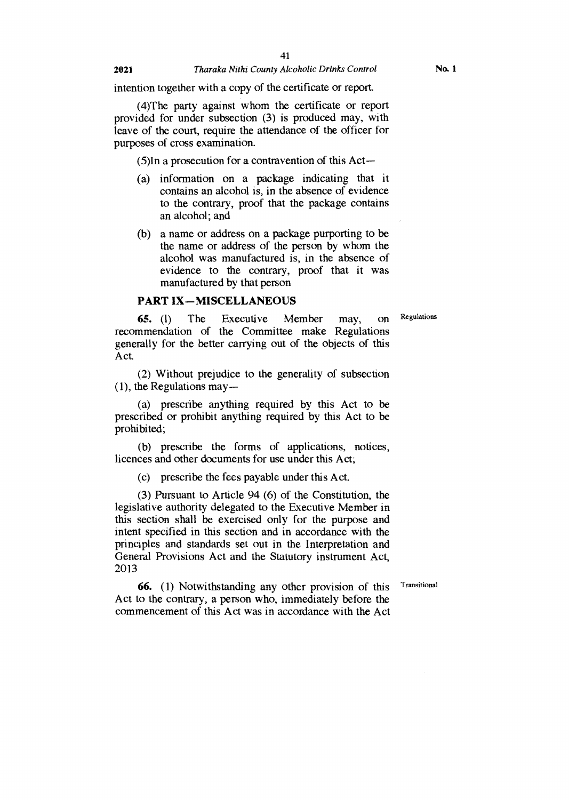#### **2021** *Tharaka Nithi County Alcoholic Drinks Control*

intention together with a copy of the certificate or report.

(4)The party against whom the certificate or report provided for under subsection (3) is produced may, with leave of the court, require the attendance of the officer for purposes of cross examination.

(5)In a prosecution for a contravention of this Act—

- (a) information on a package indicating that it contains an alcohol is, in the absence of evidence to the contrary, proof that the package contains an alcohol; and
- (b) a name or address on a package purporting to be the name or address of the person by whom the alcohol was manufactured is, in the absence of evidence to the contrary, proof that it was manufactured by that person

#### **PART IX—MISCELLANEOUS**

**65. (1)** The Executive Member may, on Regulations recommendation of the Committee make Regulations generally for the better carrying out of the objects of this Act.

(2) Without prejudice to the generality of subsection (1), the Regulations may —

(a) prescribe anything required by this Act to be prescribed or prohibit anything required by this Act to be prohibited;

(b) prescribe the forms of applications, notices, licences and other documents for use under this Act;

(c) prescribe the fees payable under this Act.

(3) Pursuant to Article 94 (6) of the Constitution, the legislative authority delegated to the Executive Member in this section shall be exercised only for the purpose and intent specified in this section and in accordance with the principles and standards set out in the Interpretation and General Provisions Act and the Statutory instrument Act, 2013

**66.** (1) Notwithstanding any other provision of this Transitional Act to the contrary, a person who, immediately before the commencement of this Act was in accordance with the Act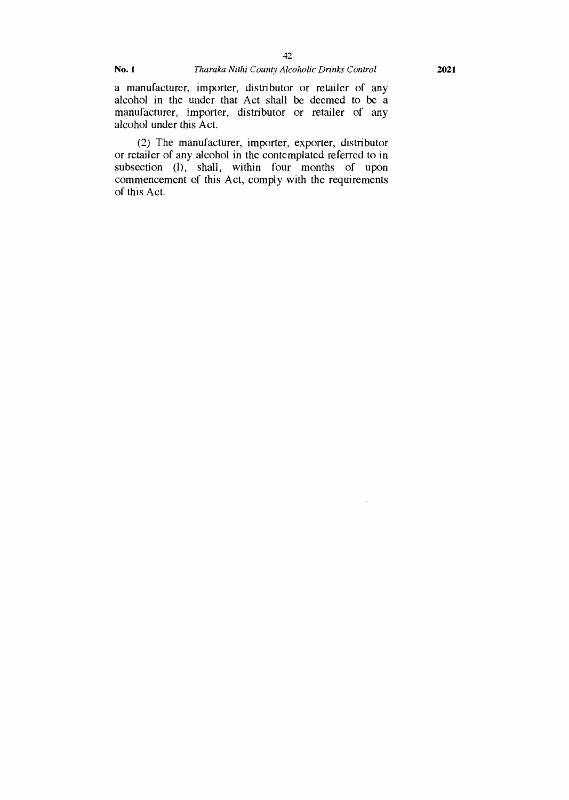i,

a manufacturer, importer, distributor or retailer of any alcohol in the under that Act shall be deemed to be a manufacturer, importer, distributor or retailer of any alcohol under this Act.

(2) The manufacturer, importer, exporter, distributor or retailer of any alcohol in the contemplated referred to in subsection (1), shall, within four months of upon commencement of this Act, comply with the requirements of this Act.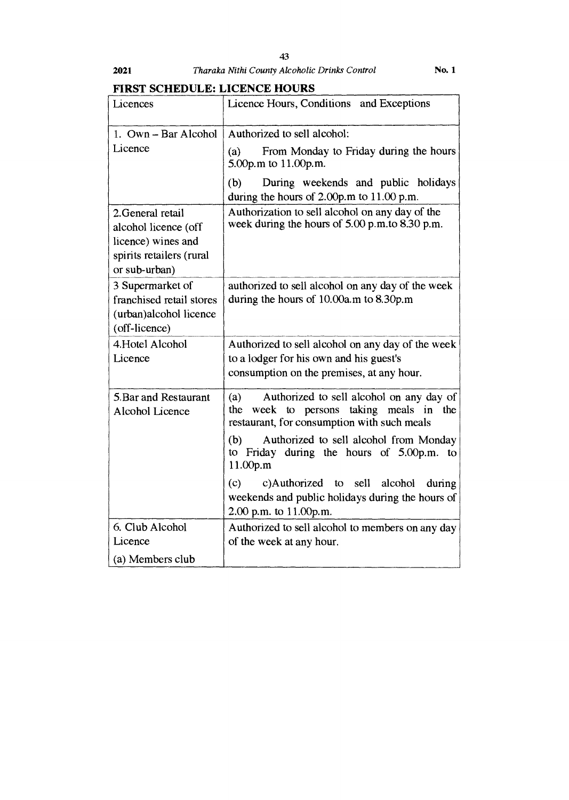## **FIRST SCHEDULE: LICENCE HOURS**

| Licences                                                                                                     | Licence Hours, Conditions and Exceptions                                                                                                           |
|--------------------------------------------------------------------------------------------------------------|----------------------------------------------------------------------------------------------------------------------------------------------------|
| 1. Own - Bar Alcohol<br>Licence                                                                              | Authorized to sell alcohol:<br>From Monday to Friday during the hours<br>(a)<br>5.00p.m to 11.00p.m.                                               |
|                                                                                                              | During weekends and public holidays<br>(b)<br>during the hours of $2.00p.m$ to $11.00p.m$ .                                                        |
| 2. General retail<br>alcohol licence (off<br>licence) wines and<br>spirits retailers (rural<br>or sub-urban) | Authorization to sell alcohol on any day of the<br>week during the hours of 5.00 p.m.to 8.30 p.m.                                                  |
| 3 Supermarket of<br>franchised retail stores<br>(urban)alcohol licence<br>(off-licence)                      | authorized to sell alcohol on any day of the week<br>during the hours of 10.00a.m to 8.30p.m                                                       |
| 4. Hotel Alcohol<br>Licence                                                                                  | Authorized to sell alcohol on any day of the week<br>to a lodger for his own and his guest's<br>consumption on the premises, at any hour.          |
| 5. Bar and Restaurant<br>Alcohol Licence                                                                     | Authorized to sell alcohol on any day of<br>(a)<br>taking meals in<br>the<br>week to persons<br>the<br>restaurant, for consumption with such meals |
|                                                                                                              | Authorized to sell alcohol from Monday<br>(b)<br>to Friday during the hours of 5.00p.m. to<br>11.00p.m                                             |
|                                                                                                              | c)Authorized to<br>sell alcohol<br>(c)<br>during<br>weekends and public holidays during the hours of<br>2.00 p.m. to 11.00p.m.                     |
| 6. Club Alcohol<br>Licence                                                                                   | Authorized to sell alcohol to members on any day<br>of the week at any hour.                                                                       |
| (a) Members club                                                                                             |                                                                                                                                                    |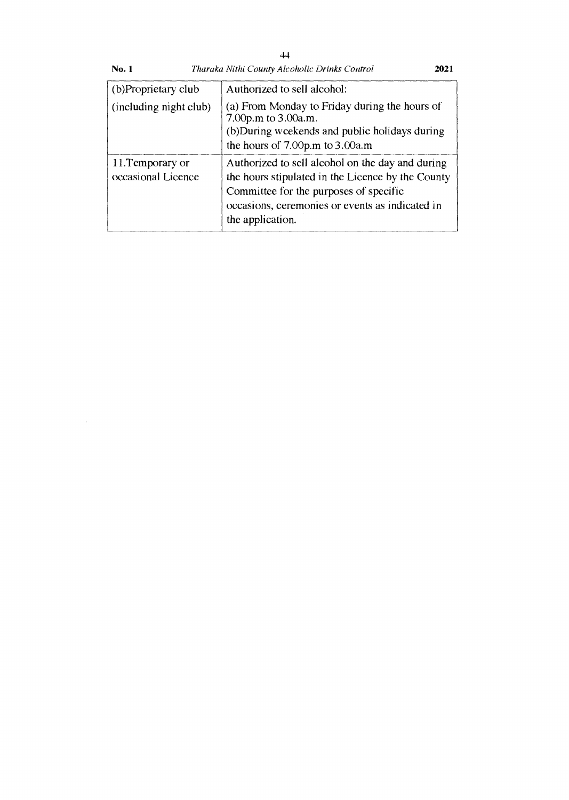| (b)Proprietary club                    | Authorized to sell alcohol:                                                                                                                                                                                            |
|----------------------------------------|------------------------------------------------------------------------------------------------------------------------------------------------------------------------------------------------------------------------|
| (including night club)                 | (a) From Monday to Friday during the hours of<br>7.00p.m to 3.00a.m.<br>(b) During weekends and public holidays during<br>the hours of 7.00p.m to 3.00a.m                                                              |
| 11. Temporary or<br>occasional Licence | Authorized to sell alcohol on the day and during<br>the hours stipulated in the Licence by the County<br>Committee for the purposes of specific<br>occasions, ceremonies or events as indicated in<br>the application. |

No. 1 *Tharaka Nithi County Alcoholic Drinks Control* 2021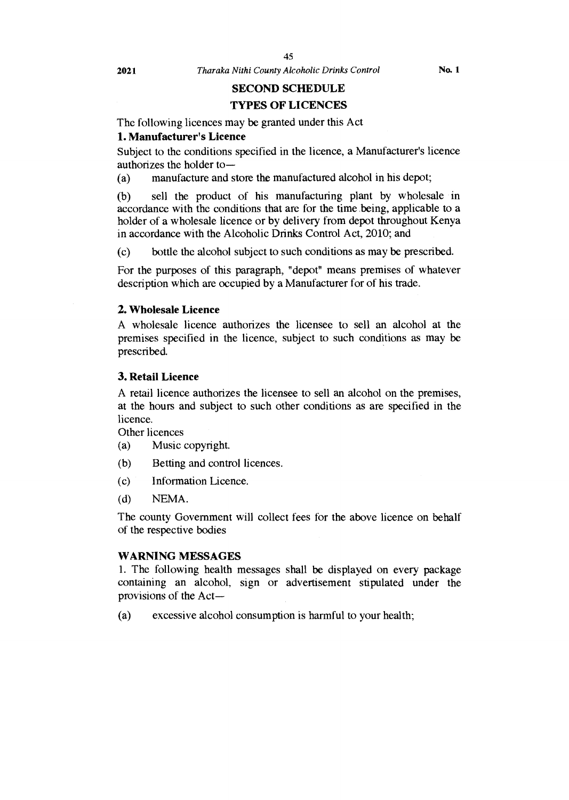**2021** *Tharaka Nithi County Alcoholic Drinks Control* **No. 1** 

#### **SECOND SCHEDULE**

#### **TYPES OF LICENCES**

The following licences may be granted under this Act

#### **1. Manufacturer's Licence**

Subject to the conditions specified in the licence, a Manufacturer's licence authorizes the holder to—

(a) manufacture and store the manufactured alcohol in his depot;

(b) sell the product of his manufacturing plant by wholesale in accordance with the conditions that are for the time being, applicable to a holder of a wholesale licence or by delivery from depot throughout Kenya in accordance with the Alcoholic Drinks Control Act, 2010; and

(c) bottle the alcohol subject to such conditions as may be prescribed.

For the purposes of this paragraph, "depot" means premises of whatever description which are occupied by a Manufacturer for of his trade.

#### **2. Wholesale Licence**

A wholesale licence authorizes the licensee to sell an alcohol at the premises specified in the licence, subject to such conditions as may be prescribed.

#### **3. Retail Licence**

A retail licence authorizes the licensee to sell an alcohol on the premises, at the hours and subject to such other conditions as are specified in the licence.

Other licences

- (a) Music copyright.
- (b) Betting and control licences.
- (c) Information Licence.
- (d) NEMA.

The county Government will collect fees for the above licence on behalf of the respective bodies

#### **WARNING MESSAGES**

1. The following health messages shall be displayed on every package containing an alcohol, sign or advertisement stipulated under the provisions of the Act—

(a) excessive alcohol consumption is harmful to your health;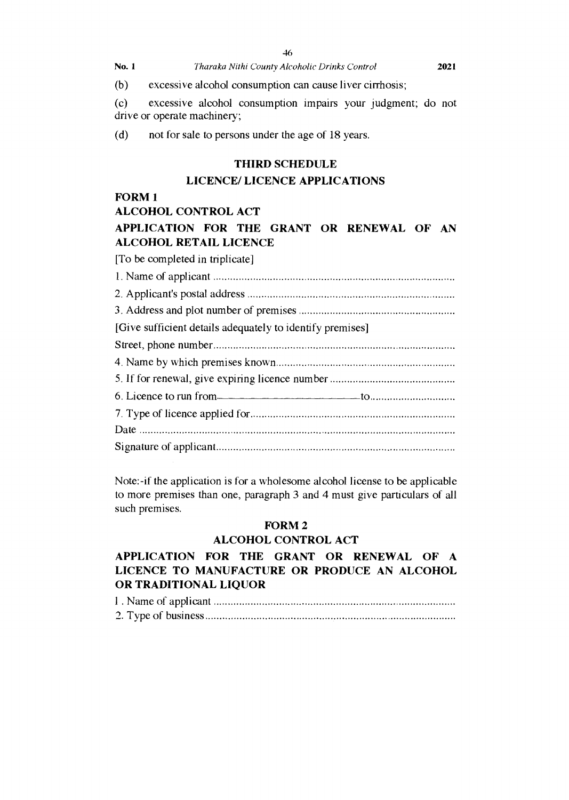(b) excessive alcohol consumption can cause liver cirrhosis;

(c) excessive alcohol consumption impairs your judgment; do not drive or operate machinery;

(d) not for sale to persons under the age of 18 years.

#### **THIRD SCHEDULE**

### **LICENCE/ LICENCE APPLICATIONS**

### **FORM 1**

**ALCOHOL CONTROL ACT** 

### **APPLICATION FOR THE GRANT OR RENEWAL OF AN ALCOHOL RETAIL LICENCE**

[To be completed in triplicate]

| [Give sufficient details adequately to identify premises] |
|-----------------------------------------------------------|
|                                                           |
|                                                           |
|                                                           |
| 6. Licence to run from                                    |
|                                                           |
|                                                           |
|                                                           |

Note:-if the application is for a wholesome alcohol license to be applicable to more premises than one, paragraph 3 and 4 must give particulars of all such premises.

#### **FORM 2**

#### **ALCOHOL CONTROL ACT**

### **APPLICATION FOR THE GRANT OR RENEWAL OF A LICENCE TO MANUFACTURE OR PRODUCE AN ALCOHOL OR TRADITIONAL LIQUOR**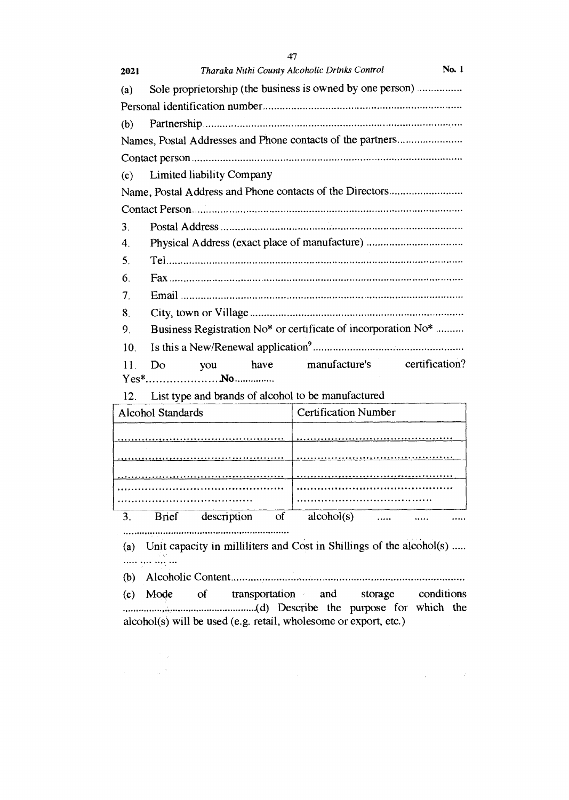| 47                                                                  |  |
|---------------------------------------------------------------------|--|
| No. 1<br>Tharaka Nithi County Alcoholic Drinks Control<br>2021      |  |
| Sole proprietorship (the business is owned by one person)<br>(a)    |  |
|                                                                     |  |
| (b)                                                                 |  |
| Names, Postal Addresses and Phone contacts of the partners          |  |
|                                                                     |  |
| Limited liability Company<br>(c)                                    |  |
|                                                                     |  |
|                                                                     |  |
| 3.                                                                  |  |
| Physical Address (exact place of manufacture)<br>4.                 |  |
| 5.                                                                  |  |
| 6.                                                                  |  |
| 7.                                                                  |  |
| 8.                                                                  |  |
| Business Registration No* or certificate of incorporation No*<br>9. |  |
| 10.                                                                 |  |
| manufacture's<br>certification?<br>have<br>11<br>Do<br>you          |  |
|                                                                     |  |
| List type and brands of alcohol to be manufactured<br>12.           |  |

|    | Alcohol Standards |             |                        | <b>Certification Number</b> |  |  |
|----|-------------------|-------------|------------------------|-----------------------------|--|--|
|    |                   |             |                        |                             |  |  |
|    |                   |             |                        |                             |  |  |
|    |                   |             |                        |                             |  |  |
|    |                   |             |                        |                             |  |  |
|    |                   |             |                        |                             |  |  |
| 3. | <b>Brief</b>      | description | $\overline{\text{of}}$ | alcohol(s)                  |  |  |
|    |                   |             |                        |                             |  |  |

(a) Unit capacity in milliliters and Cost in Shillings of the alcohol(s) ..... 

(b) Alcoholic Content

(c) Mode of transportation and storage conditions .(d) Describe the purpose for which the alcohol(s) will be used (e.g. retail, wholesome or export, etc.)

 $\label{eq:2.1} \frac{1}{\sqrt{2}}\left(\frac{1}{\sqrt{2}}\right)^{1/2}\left(\frac{1}{\sqrt{2}}\right)^{1/2}\left(\frac{1}{\sqrt{2}}\right)^{1/2}$ 

 $\frac{1}{2\pi} \left( \frac{1}{2} \right)^2$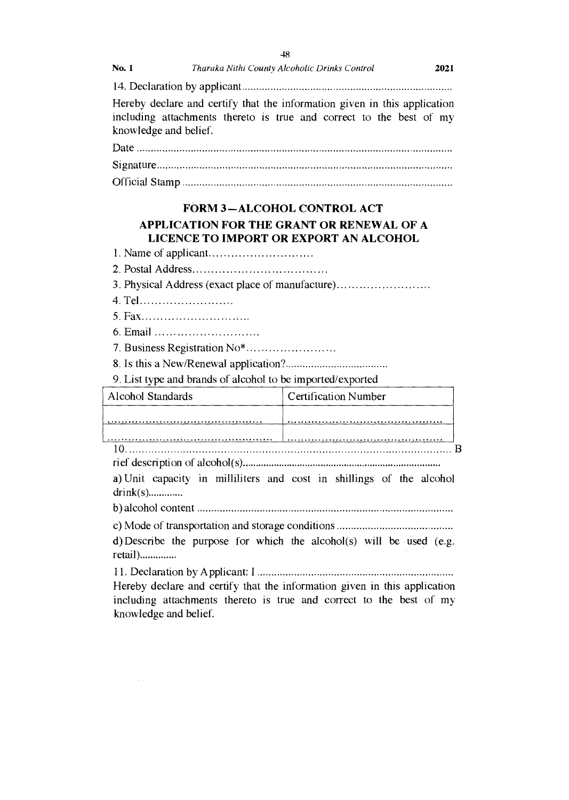| <b>No. 1</b> | Tharaka Nithi County Alcoholic Drinks Control | 2021 |
|--------------|-----------------------------------------------|------|
|--------------|-----------------------------------------------|------|

14. Declaration by applicant

Hereby declare and certify that the information given in this application including attachments thereto is true and correct to the best of my knowledge and belief.

Date Signature

Official Stamp

#### **FORM 3—ALCOHOL CONTROL ACT**

### **APPLICATION FOR THE GRANT OR RENEWAL OF A LICENCE TO IMPORT OR EXPORT AN ALCOHOL**

- 1. Name of applicant
- 2. Postal Address

3. Physical Address (exact place of manufacture)

- 4. Tel
- 5. Fax
- 6. Email
- 7. Business Registration No\*
- 8. Is this a New/Renewal application?

9. List type and brands of alcohol to be imported/exported

| Alcohol Standards | <b>Certification Number</b> |
|-------------------|-----------------------------|
|                   |                             |
|                   |                             |
| $\sim$            |                             |

10. ri ef description of alcohol(s)

a) Unit capacity in milliliters and cost in shillings of the alcohol drink(s)

b) alcohol content

c) Mode of transportation and storage conditions

d)Describe the purpose for which the alcohol(s) will be used (e.g. retail)

11. Declaration by Applicant: I

Hereby declare and certify that the information given in this application including attachments thereto is true and correct to the best of my knowledge and belief.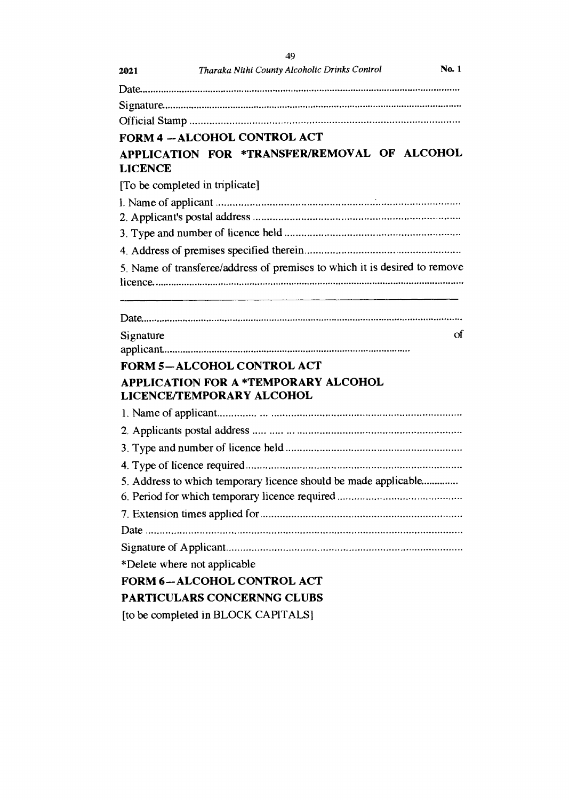|                | 49                                                                         |
|----------------|----------------------------------------------------------------------------|
| 2021           | <b>No. 1</b><br>Tharaka Nithi County Alcoholic Drinks Control              |
|                |                                                                            |
|                |                                                                            |
|                |                                                                            |
|                | <b>FORM 4 - ALCOHOL CONTROL ACT</b>                                        |
| <b>LICENCE</b> | APPLICATION FOR *TRANSFER/REMOVAL OF ALCOHOL                               |
|                | [To be completed in triplicate]                                            |
|                |                                                                            |
|                |                                                                            |
|                |                                                                            |
|                |                                                                            |
|                | 5. Name of transferee/address of premises to which it is desired to remove |
|                |                                                                            |
| Signature      |                                                                            |
|                | <b>FORM 5-ALCOHOL CONTROL ACT</b>                                          |
|                | <b>APPLICATION FOR A *TEMPORARY ALCOHOL</b><br>LICENCE/TEMPORARY ALCOHOL   |
|                |                                                                            |
|                |                                                                            |
|                |                                                                            |
|                |                                                                            |
|                | 5. Address to which temporary licence should be made applicable            |
|                |                                                                            |
|                |                                                                            |
|                |                                                                            |
|                |                                                                            |
|                | *Delete where not applicable                                               |
|                | Οf<br><b>FORM 6-ALCOHOL CONTROL ACT</b>                                    |
|                | PARTICULARS CONCERNNG CLUBS                                                |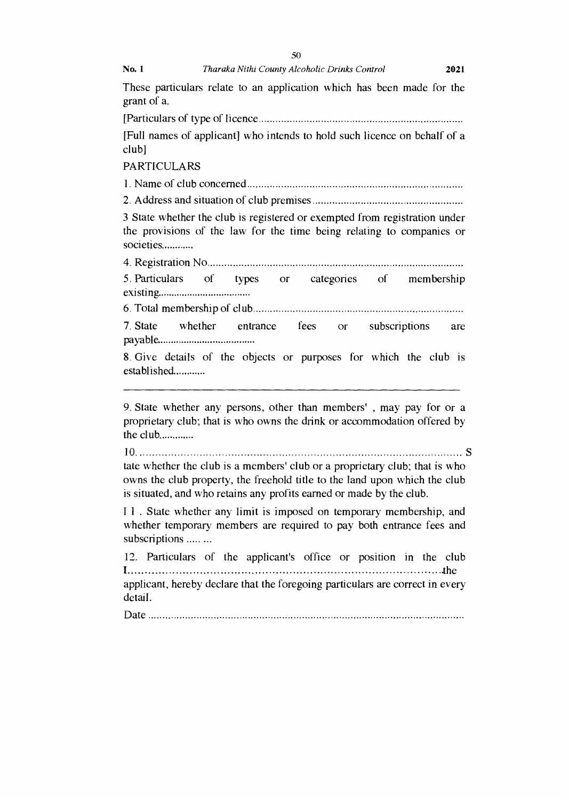|                    | 50                                                                                                                                                                                                                                |
|--------------------|-----------------------------------------------------------------------------------------------------------------------------------------------------------------------------------------------------------------------------------|
| No. 1              | Tharaka Nithi County Alcoholic Drinks Control<br>2021                                                                                                                                                                             |
| grant of a.        | These particulars relate to an application which has been made for the                                                                                                                                                            |
|                    |                                                                                                                                                                                                                                   |
| $club$ ]           | [Full names of applicant] who intends to hold such licence on behalf of a                                                                                                                                                         |
| <b>PARTICULARS</b> |                                                                                                                                                                                                                                   |
|                    |                                                                                                                                                                                                                                   |
|                    |                                                                                                                                                                                                                                   |
| societies          | 3 State whether the club is registered or exempted from registration under<br>the provisions of the law for the time being relating to companies or                                                                               |
|                    |                                                                                                                                                                                                                                   |
|                    | 5. Particulars of types or categories of membership                                                                                                                                                                               |
|                    |                                                                                                                                                                                                                                   |
|                    | 7. State whether entrance fees or subscriptions<br>are                                                                                                                                                                            |
| established        | 8. Give details of the objects or purposes for which the club is                                                                                                                                                                  |
| the club           | 9. State whether any persons, other than members', may pay for or a<br>proprietary club; that is who owns the drink or accommodation offered by                                                                                   |
|                    | tate whether the club is a members' club or a proprietary club; that is who<br>owns the club property, the freehold title to the land upon which the club<br>is situated, and who retains any profits earned or made by the club. |
| subscriptions      | I 1. State whether any limit is imposed on temporary membership, and<br>whether temporary members are required to pay both entrance fees and                                                                                      |
|                    | 12. Particulars of the applicant's office or position in the club                                                                                                                                                                 |
|                    | applicant, hereby declare that the foregoing particulars are correct in every                                                                                                                                                     |

 ${\bf S}$ 

detail.

Date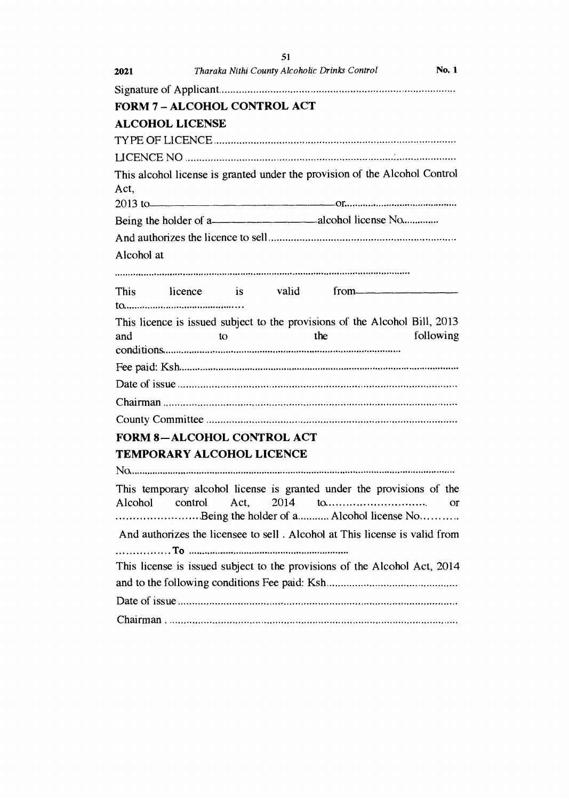|            |                                     |      | 51   |                                               |                                                                                                                                                                                                                                     |
|------------|-------------------------------------|------|------|-----------------------------------------------|-------------------------------------------------------------------------------------------------------------------------------------------------------------------------------------------------------------------------------------|
| 2021       |                                     |      |      | Tharaka Nithi County Alcoholic Drinks Control | No. 1                                                                                                                                                                                                                               |
|            |                                     |      |      |                                               |                                                                                                                                                                                                                                     |
|            | <b>FORM 7 - ALCOHOL CONTROL ACT</b> |      |      |                                               |                                                                                                                                                                                                                                     |
|            | <b>ALCOHOL LICENSE</b>              |      |      |                                               |                                                                                                                                                                                                                                     |
|            |                                     |      |      |                                               |                                                                                                                                                                                                                                     |
|            |                                     |      |      |                                               |                                                                                                                                                                                                                                     |
|            |                                     |      |      |                                               | This alcohol license is granted under the provision of the Alcohol Control                                                                                                                                                          |
| Act.       |                                     |      |      |                                               |                                                                                                                                                                                                                                     |
|            |                                     |      |      |                                               | 2013 to <u>continuous communication</u> communication or communication of the contract of the contract of the contract of the contract of the contract of the contract of the contract of the contract of the contract of the contr |
|            |                                     |      |      |                                               |                                                                                                                                                                                                                                     |
|            |                                     |      |      |                                               |                                                                                                                                                                                                                                     |
| Alcohol at |                                     |      |      |                                               |                                                                                                                                                                                                                                     |
|            |                                     |      |      |                                               |                                                                                                                                                                                                                                     |
|            |                                     |      |      |                                               | This licence is valid from                                                                                                                                                                                                          |
|            |                                     |      |      |                                               |                                                                                                                                                                                                                                     |
| and        |                                     | to   |      | the                                           | This licence is issued subject to the provisions of the Alcohol Bill, 2013<br>following                                                                                                                                             |
|            |                                     |      |      |                                               |                                                                                                                                                                                                                                     |
|            |                                     |      |      |                                               |                                                                                                                                                                                                                                     |
|            |                                     |      |      |                                               |                                                                                                                                                                                                                                     |
|            |                                     |      |      |                                               |                                                                                                                                                                                                                                     |
|            |                                     |      |      |                                               |                                                                                                                                                                                                                                     |
|            | <b>FORM 8-ALCOHOL CONTROL ACT</b>   |      |      |                                               |                                                                                                                                                                                                                                     |
|            | <b>TEMPORARY ALCOHOL LICENCE</b>    |      |      |                                               |                                                                                                                                                                                                                                     |
|            |                                     |      |      |                                               |                                                                                                                                                                                                                                     |
| Alcohol    | control                             | Act. | 2014 | to                                            | This temporary alcohol license is granted under the provisions of the<br>or<br>Being the holder of a Alcohol license No                                                                                                             |
|            |                                     |      |      |                                               | And authorizes the licensee to sell. Alcohol at This license is valid from                                                                                                                                                          |
|            |                                     |      |      |                                               | This license is issued subject to the provisions of the Alcohol Act, 2014                                                                                                                                                           |
|            |                                     |      |      |                                               |                                                                                                                                                                                                                                     |
|            |                                     |      |      |                                               |                                                                                                                                                                                                                                     |
|            |                                     |      |      |                                               |                                                                                                                                                                                                                                     |
|            |                                     |      |      |                                               |                                                                                                                                                                                                                                     |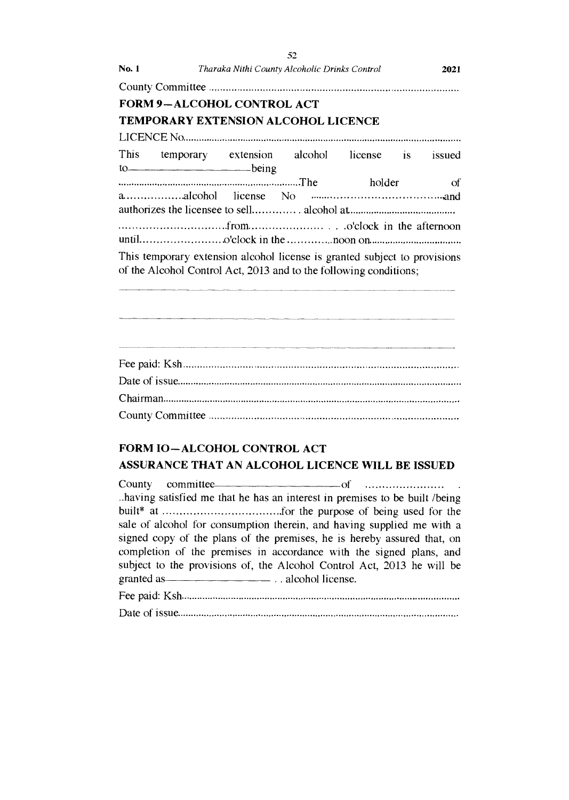| <b>No. 1</b> | Tharaka Nithi County Alcoholic Drinks Control                             |        | 2021   |
|--------------|---------------------------------------------------------------------------|--------|--------|
|              |                                                                           |        |        |
|              | <b>FORM 9-ALCOHOL CONTROL ACT</b>                                         |        |        |
|              | TEMPORARY EXTENSION ALCOHOL LICENCE                                       |        |        |
|              |                                                                           |        |        |
|              | This temporary extension alcohol license is                               |        | issued |
|              | $10$ being                                                                |        |        |
|              |                                                                           | holder | - of   |
|              |                                                                           |        |        |
|              |                                                                           |        |        |
|              |                                                                           |        |        |
|              |                                                                           |        |        |
|              | This temporary extension alcohol license is granted subject to provisions |        |        |
|              | of the Alcohol Control Act, 2013 and to the following conditions;         |        |        |

**52** 

# Fee paid: Ksh Date of issue Chairman County Committee

### FORM IO—ALCOHOL CONTROL ACT ASSURANCE THAT AN ALCOHOL LICENCE WILL BE ISSUED

County committee of ..having satisfied me that he has an interest in premises to be built /being built\* at .for the purpose of being used for the sale of alcohol for consumption therein, and having supplied me with a signed copy of the plans of the premises, he is hereby assured that, on completion of the premises in accordance with the signed plans, and subject to the provisions of, the Alcohol Control Act, 2013 he will be granted as <u>example as alcohol</u> license. Fee paid: Ksh

Date of issue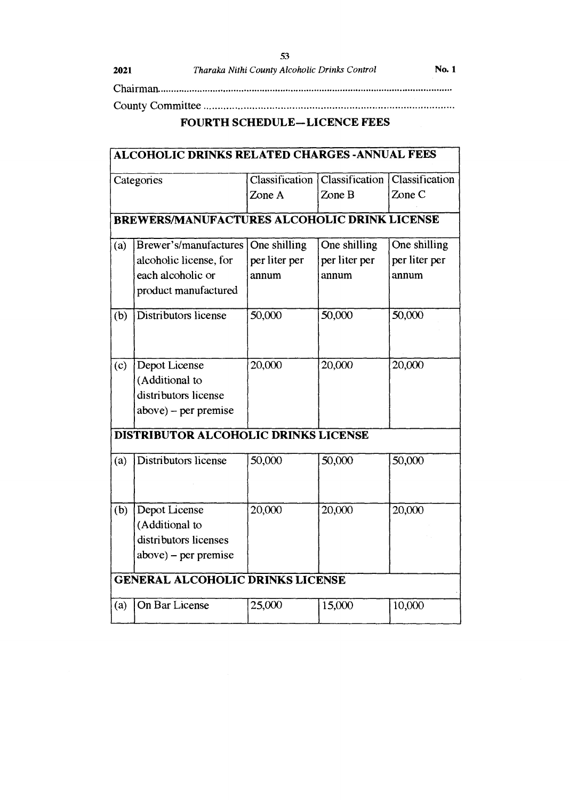Chairman

**53** 

County Committee

## **FOURTH SCHEDULE—LICENCE FEES**

|            | <b>ALCOHOLIC DRINKS RELATED CHARGES - ANNUAL FEES</b> |               |                                                  |               |
|------------|-------------------------------------------------------|---------------|--------------------------------------------------|---------------|
| Categories |                                                       |               | Classification   Classification   Classification |               |
|            |                                                       | Zone A        | Zone B                                           | Zone C        |
|            | <b>BREWERS/MANUFACTURES ALCOHOLIC DRINK LICENSE</b>   |               |                                                  |               |
| (a)        | Brewer's/manufactures                                 | One shilling  | One shilling                                     | One shilling  |
|            | alcoholic license, for                                | per liter per | per liter per                                    | per liter per |
|            | each alcoholic or                                     | annum         | annum                                            | annum         |
|            | product manufactured                                  |               |                                                  |               |
| (b)        | Distributors license                                  | 50,000        | 50,000                                           | 50,000        |
| (c)        | Depot License<br>(Additional to                       | 20,000        | 20,000                                           | 20,000        |
|            | distributors license                                  |               |                                                  |               |
|            |                                                       |               |                                                  |               |
|            | $above$ ) – per premise                               |               |                                                  |               |
|            | DISTRIBUTOR ALCOHOLIC DRINKS LICENSE                  |               |                                                  |               |
| (a)        | Distributors license                                  | 50,000        | 50,000                                           | 50,000        |
| (b)        | Depot License                                         | 20,000        | 20,000                                           | 20,000        |
|            | (Additional to                                        |               |                                                  |               |
|            | distributors licenses                                 |               |                                                  |               |
|            | $above$ ) – per premise                               |               |                                                  |               |
|            | <b>GENERAL ALCOHOLIC DRINKS LICENSE</b>               |               |                                                  |               |
| (a)        | On Bar License                                        | 25,000        | 15,000                                           | 10,000        |
|            |                                                       |               |                                                  |               |